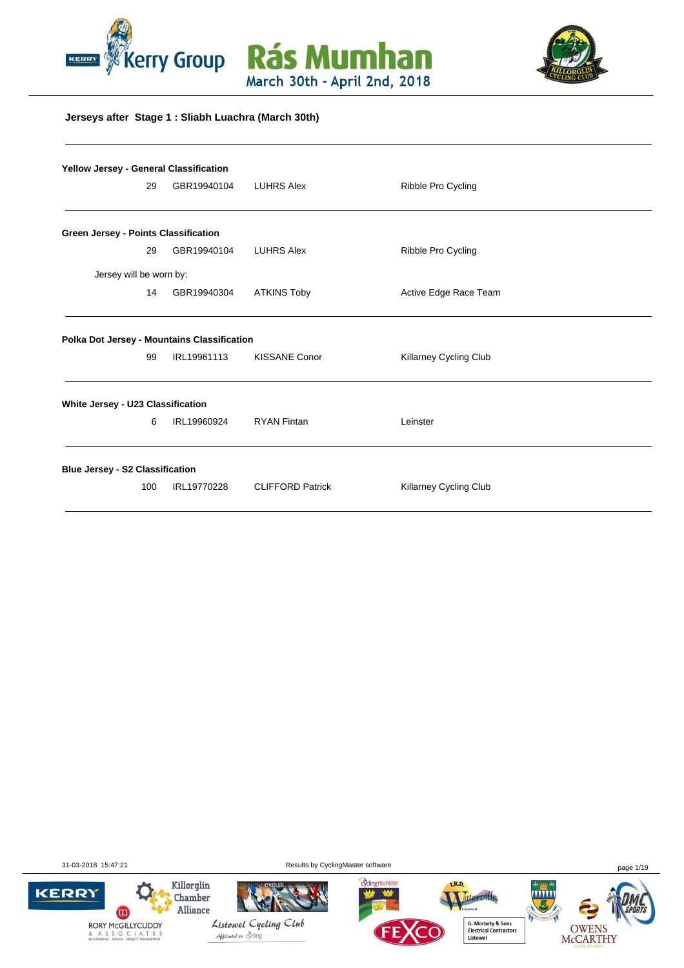





### **Jerseys after Stage 1 : Sliabh Luachra (March 30th)**

| Yellow Jersey - General Classification |     |                                                            |                         |                               |  |
|----------------------------------------|-----|------------------------------------------------------------|-------------------------|-------------------------------|--|
|                                        | 29  | GBR19940104                                                | <b>LUHRS Alex</b>       | Ribble Pro Cycling            |  |
| Green Jersey - Points Classification   |     |                                                            |                         |                               |  |
|                                        | 29  | GBR19940104                                                | <b>LUHRS Alex</b>       | Ribble Pro Cycling            |  |
| Jersey will be worn by:                |     |                                                            |                         |                               |  |
|                                        | 14  | GBR19940304                                                | <b>ATKINS Toby</b>      | Active Edge Race Team         |  |
|                                        | 99  | Polka Dot Jersey - Mountains Classification<br>IRL19961113 | <b>KISSANE Conor</b>    | <b>Killarney Cycling Club</b> |  |
| White Jersey - U23 Classification      |     |                                                            |                         |                               |  |
|                                        | 6   | IRL19960924                                                | <b>RYAN Fintan</b>      | Leinster                      |  |
| <b>Blue Jersey - S2 Classification</b> |     |                                                            |                         |                               |  |
|                                        | 100 | IRL19770228                                                | <b>CLIFFORD Patrick</b> | Killarney Cycling Club        |  |

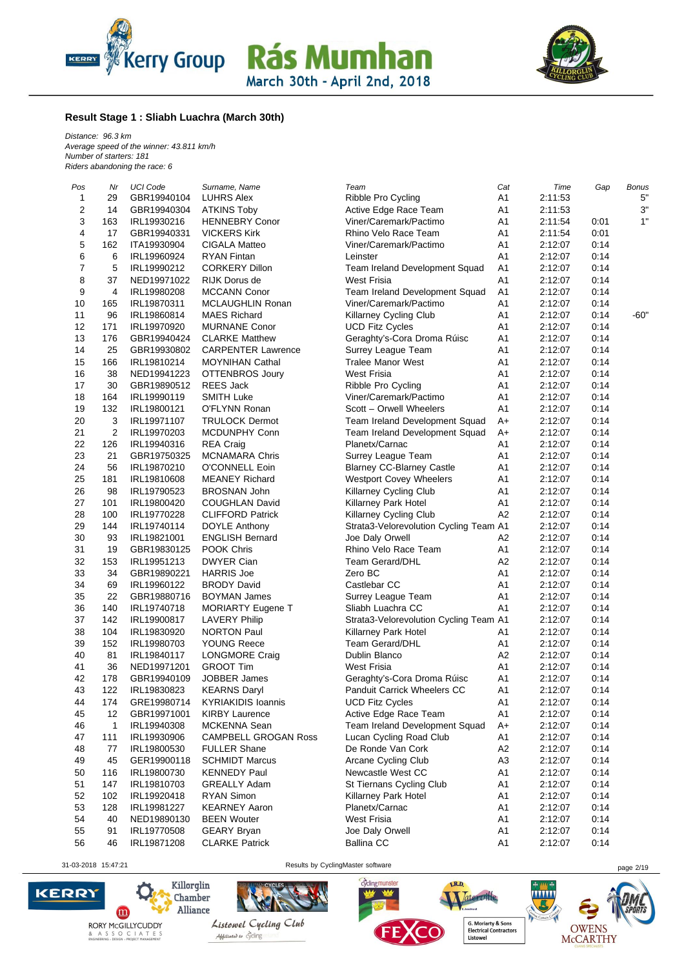



#### **Result Stage 1 : Sliabh Luachra (March 30th)**

*Distance: 96.3 km Average speed of the winner: 43.811 km/h Number of starters: 181 Riders abandoning the race: 6*

| Pos | Nr             | <b>UCI Code</b> | Surname, Name               | Team                                   | Cat            | Time    | Gap  | <b>Bonus</b> |
|-----|----------------|-----------------|-----------------------------|----------------------------------------|----------------|---------|------|--------------|
| 1   | 29             | GBR19940104     | <b>LUHRS Alex</b>           | Ribble Pro Cycling                     | A1             | 2:11:53 |      | 5"           |
| 2   | 14             | GBR19940304     | <b>ATKINS Toby</b>          | Active Edge Race Team                  | A <sub>1</sub> | 2:11:53 |      | 3"           |
| 3   | 163            | IRL19930216     | <b>HENNEBRY Conor</b>       | Viner/Caremark/Pactimo                 | A <sub>1</sub> | 2:11:54 | 0:01 | 1"           |
| 4   | 17             | GBR19940331     | <b>VICKERS Kirk</b>         | Rhino Velo Race Team                   | A <sub>1</sub> | 2:11:54 | 0:01 |              |
| 5   | 162            | ITA19930904     | <b>CIGALA Matteo</b>        | Viner/Caremark/Pactimo                 | A <sub>1</sub> | 2:12:07 | 0:14 |              |
| 6   | $\,6$          | IRL19960924     | <b>RYAN Fintan</b>          | Leinster                               | A1             | 2:12:07 | 0:14 |              |
| 7   | 5              | IRL19990212     | <b>CORKERY Dillon</b>       | Team Ireland Development Squad         | A <sub>1</sub> | 2:12:07 | 0:14 |              |
| 8   | 37             | NED19971022     | RIJK Dorus de               | <b>West Frisia</b>                     | A <sub>1</sub> | 2:12:07 | 0:14 |              |
| 9   | 4              | IRL19980208     | <b>MCCANN Conor</b>         | Team Ireland Development Squad         | A <sub>1</sub> | 2:12:07 | 0:14 |              |
| 10  | 165            | IRL19870311     | <b>MCLAUGHLIN Ronan</b>     | Viner/Caremark/Pactimo                 | A <sub>1</sub> | 2:12:07 | 0:14 |              |
| 11  | 96             | IRL19860814     | <b>MAES Richard</b>         | <b>Killarney Cycling Club</b>          | A1             | 2:12:07 | 0:14 | $-60"$       |
| 12  | 171            | IRL19970920     | <b>MURNANE Conor</b>        | <b>UCD Fitz Cycles</b>                 | A <sub>1</sub> | 2:12:07 | 0:14 |              |
| 13  | 176            |                 | <b>CLARKE Matthew</b>       |                                        |                |         |      |              |
|     |                | GBR19940424     |                             | Geraghty's-Cora Droma Rúisc            | A <sub>1</sub> | 2:12:07 | 0:14 |              |
| 14  | 25             | GBR19930802     | <b>CARPENTER Lawrence</b>   | Surrey League Team                     | A <sub>1</sub> | 2:12:07 | 0:14 |              |
| 15  | 166            | IRL19810214     | <b>MOYNIHAN Cathal</b>      | <b>Tralee Manor West</b>               | A <sub>1</sub> | 2:12:07 | 0:14 |              |
| 16  | 38             | NED19941223     | <b>OTTENBROS Joury</b>      | <b>West Frisia</b>                     | A1             | 2:12:07 | 0:14 |              |
| 17  | 30             | GBR19890512     | <b>REES Jack</b>            | Ribble Pro Cycling                     | A <sub>1</sub> | 2:12:07 | 0:14 |              |
| 18  | 164            | IRL19990119     | <b>SMITH Luke</b>           | Viner/Caremark/Pactimo                 | A <sub>1</sub> | 2:12:07 | 0:14 |              |
| 19  | 132            | IRL19800121     | O'FLYNN Ronan               | Scott - Orwell Wheelers                | A1             | 2:12:07 | 0:14 |              |
| 20  | 3              | IRL19971107     | <b>TRULOCK Dermot</b>       | Team Ireland Development Squad         | A+             | 2:12:07 | 0:14 |              |
| 21  | $\overline{c}$ | IRL19970203     | MCDUNPHY Conn               | Team Ireland Development Squad         | $A+$           | 2:12:07 | 0:14 |              |
| 22  | 126            | IRL19940316     | <b>REA Craig</b>            | Planetx/Carnac                         | A <sub>1</sub> | 2:12:07 | 0:14 |              |
| 23  | 21             | GBR19750325     | <b>MCNAMARA Chris</b>       | Surrey League Team                     | A <sub>1</sub> | 2:12:07 | 0:14 |              |
| 24  | 56             | IRL19870210     | O'CONNELL Eoin              | <b>Blarney CC-Blarney Castle</b>       | A <sub>1</sub> | 2:12:07 | 0:14 |              |
| 25  | 181            | IRL19810608     | <b>MEANEY Richard</b>       | <b>Westport Covey Wheelers</b>         | A <sub>1</sub> | 2:12:07 | 0:14 |              |
| 26  | 98             | IRL19790523     | <b>BROSNAN John</b>         | Killarney Cycling Club                 | A1             | 2:12:07 | 0:14 |              |
| 27  | 101            | IRL19800420     | <b>COUGHLAN David</b>       | Killarney Park Hotel                   | A <sub>1</sub> | 2:12:07 | 0:14 |              |
| 28  | 100            | IRL19770228     | <b>CLIFFORD Patrick</b>     | <b>Killarney Cycling Club</b>          | A2             | 2:12:07 | 0:14 |              |
| 29  | 144            | IRL19740114     | DOYLE Anthony               | Strata3-Velorevolution Cycling Team A1 |                | 2:12:07 | 0:14 |              |
| 30  | 93             | IRL19821001     | <b>ENGLISH Bernard</b>      | Joe Daly Orwell                        | A2             | 2:12:07 | 0:14 |              |
| 31  | 19             |                 | POOK Chris                  | Rhino Velo Race Team                   | A1             |         | 0:14 |              |
|     | 153            | GBR19830125     |                             |                                        |                | 2:12:07 |      |              |
| 32  |                | IRL19951213     | <b>DWYER Cian</b>           | <b>Team Gerard/DHL</b>                 | A <sub>2</sub> | 2:12:07 | 0:14 |              |
| 33  | 34             | GBR19890221     | <b>HARRIS Joe</b>           | Zero BC                                | A <sub>1</sub> | 2:12:07 | 0:14 |              |
| 34  | 69             | IRL19960122     | <b>BRODY David</b>          | Castlebar CC                           | A <sub>1</sub> | 2:12:07 | 0:14 |              |
| 35  | 22             | GBR19880716     | <b>BOYMAN James</b>         | Surrey League Team                     | A <sub>1</sub> | 2:12:07 | 0:14 |              |
| 36  | 140            | IRL19740718     | <b>MORIARTY Eugene T</b>    | Sliabh Luachra CC                      | A1             | 2:12:07 | 0:14 |              |
| 37  | 142            | IRL19900817     | <b>LAVERY Philip</b>        | Strata3-Velorevolution Cycling Team A1 |                | 2:12:07 | 0:14 |              |
| 38  | 104            | IRL19830920     | <b>NORTON Paul</b>          | Killarney Park Hotel                   | A <sub>1</sub> | 2:12:07 | 0:14 |              |
| 39  | 152            | IRL19980703     | YOUNG Reece                 | <b>Team Gerard/DHL</b>                 | A <sub>1</sub> | 2:12:07 | 0:14 |              |
| 40  | 81             | IRL19840117     | <b>LONGMORE Craig</b>       | Dublin Blanco                          | A <sub>2</sub> | 2:12:07 | 0:14 |              |
| 41  | 36             | NED19971201     | <b>GROOT Tim</b>            | <b>West Frisia</b>                     | A <sub>1</sub> | 2:12:07 | 0:14 |              |
| 42  | 178            | GBR19940109     | <b>JOBBER James</b>         | Geraghty's-Cora Droma Rúisc            | A <sub>1</sub> | 2:12:07 | 0:14 |              |
| 43  | 122            | IRL19830823     | <b>KEARNS Daryl</b>         | <b>Panduit Carrick Wheelers CC</b>     | A1             | 2:12:07 | 0:14 |              |
| 44  | 174            | GRE19980714     | <b>KYRIAKIDIS Ioannis</b>   | <b>UCD Fitz Cycles</b>                 | A1             | 2:12:07 | 0:14 |              |
| 45  | 12             | GBR19971001     | <b>KIRBY Laurence</b>       | Active Edge Race Team                  | A <sub>1</sub> | 2:12:07 | 0:14 |              |
| 46  | 1              | IRL19940308     | MCKENNA Sean                | Team Ireland Development Squad         | A+             | 2:12:07 | 0:14 |              |
| 47  | 111            | IRL19930906     | <b>CAMPBELL GROGAN Ross</b> | Lucan Cycling Road Club                | A1             | 2:12:07 | 0:14 |              |
| 48  | 77             | IRL19800530     | FULLER Shane                | De Ronde Van Cork                      | A <sub>2</sub> | 2:12:07 | 0:14 |              |
| 49  | 45             | GER19900118     | <b>SCHMIDT Marcus</b>       | Arcane Cycling Club                    | A <sub>3</sub> | 2:12:07 | 0:14 |              |
|     |                |                 |                             | Newcastle West CC                      |                |         |      |              |
| 50  | 116            | IRL19800730     | <b>KENNEDY Paul</b>         |                                        | A <sub>1</sub> | 2:12:07 | 0:14 |              |
| 51  | 147            | IRL19810703     | <b>GREALLY Adam</b>         | St Tiernans Cycling Club               | A <sub>1</sub> | 2:12:07 | 0:14 |              |
| 52  | 102            | IRL19920418     | RYAN Simon                  | Killarney Park Hotel                   | A <sub>1</sub> | 2:12:07 | 0:14 |              |
| 53  | 128            | IRL19981227     | <b>KEARNEY Aaron</b>        | Planetx/Carnac                         | A <sub>1</sub> | 2:12:07 | 0:14 |              |
| 54  | 40             | NED19890130     | <b>BEEN Wouter</b>          | <b>West Frisia</b>                     | A <sub>1</sub> | 2:12:07 | 0:14 |              |
| 55  | 91             | IRL19770508     | <b>GEARY Bryan</b>          | Joe Daly Orwell                        | A <sub>1</sub> | 2:12:07 | 0:14 |              |
| 56  | 46             | IRL19871208     | <b>CLARKE Patrick</b>       | <b>Ballina CC</b>                      | A1             | 2:12:07 | 0:14 |              |

31-03-2018 15:47:21 Results by CyclingMaster software page 2/19



 $\bullet$ RORY MCGILLYCUDDY & A S S O C I A T E S<br>ENGINEERING - DESIGN - PROJECT MANAGEMENT

Killorglin

Chamber Alliance



Abbiliated to cycling



Jateroille, .<br>Hered **G. Moriarty & Sons<br>Electrical Contractors<br>Listowel** 

LR.D.

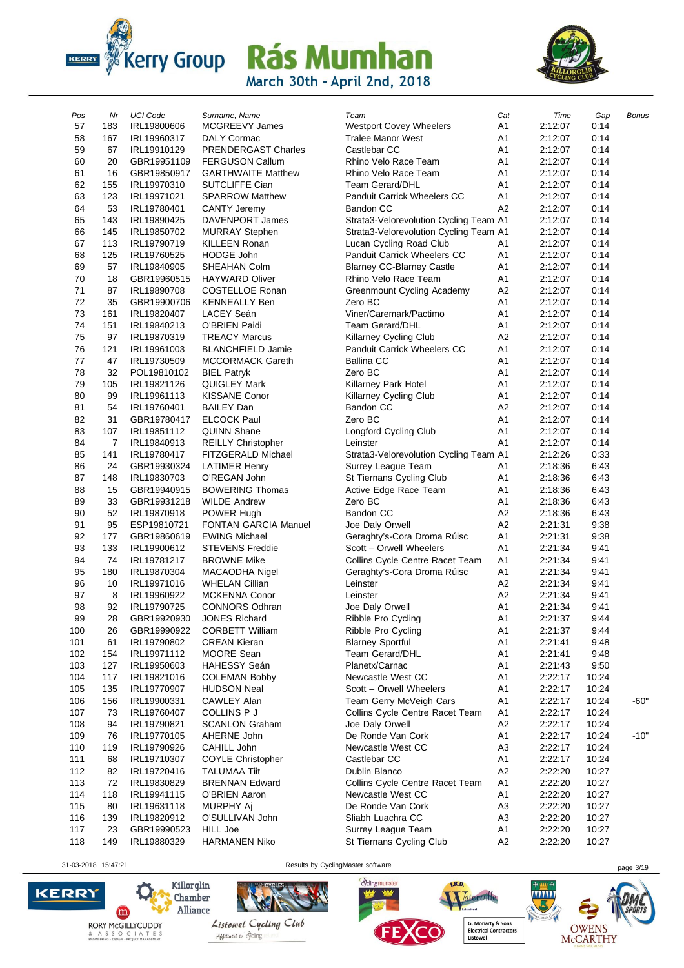



| Pos | Nr  | <b>UCI Code</b> | Surname, Name               | Team                                   | Cat            | Time    | Gap   | Bonus  |
|-----|-----|-----------------|-----------------------------|----------------------------------------|----------------|---------|-------|--------|
| 57  | 183 | IRL19800606     | MCGREEVY James              | <b>Westport Covey Wheelers</b>         | A1             | 2:12:07 | 0:14  |        |
| 58  | 167 | IRL19960317     | <b>DALY Cormac</b>          | <b>Tralee Manor West</b>               | A1             | 2:12:07 | 0:14  |        |
| 59  | 67  | IRL19910129     | PRENDERGAST Charles         | Castlebar CC                           | A1             | 2:12:07 | 0:14  |        |
| 60  | 20  | GBR19951109     | <b>FERGUSON Callum</b>      | Rhino Velo Race Team                   | A <sub>1</sub> | 2:12:07 | 0:14  |        |
| 61  | 16  | GBR19850917     | <b>GARTHWAITE Matthew</b>   | Rhino Velo Race Team                   | A1             | 2:12:07 | 0:14  |        |
| 62  | 155 | IRL19970310     | SUTCLIFFE Cian              | <b>Team Gerard/DHL</b>                 | A1             | 2:12:07 | 0:14  |        |
| 63  | 123 | IRL19971021     | <b>SPARROW Matthew</b>      | Panduit Carrick Wheelers CC            | A1             | 2:12:07 | 0:14  |        |
| 64  | 53  | IRL19780401     | <b>CANTY Jeremy</b>         | <b>Bandon CC</b>                       | A2             | 2:12:07 | 0:14  |        |
| 65  | 143 | IRL19890425     | DAVENPORT James             | Strata3-Velorevolution Cycling Team A1 |                | 2:12:07 | 0:14  |        |
| 66  | 145 | IRL19850702     | <b>MURRAY Stephen</b>       | Strata3-Velorevolution Cycling Team A1 |                | 2:12:07 | 0:14  |        |
| 67  | 113 | IRL19790719     | <b>KILLEEN Ronan</b>        | Lucan Cycling Road Club                | A1             | 2:12:07 | 0:14  |        |
| 68  | 125 | IRL19760525     | <b>HODGE John</b>           | Panduit Carrick Wheelers CC            | A1             | 2:12:07 | 0:14  |        |
| 69  | 57  | IRL19840905     | SHEAHAN Colm                | <b>Blarney CC-Blarney Castle</b>       | A <sub>1</sub> | 2:12:07 | 0:14  |        |
| 70  | 18  | GBR19960515     | <b>HAYWARD Oliver</b>       | Rhino Velo Race Team                   | A <sub>1</sub> | 2:12:07 | 0:14  |        |
| 71  | 87  | IRL19890708     | <b>COSTELLOE Ronan</b>      | Greenmount Cycling Academy             | A <sub>2</sub> | 2:12:07 | 0:14  |        |
| 72  | 35  | GBR19900706     | <b>KENNEALLY Ben</b>        | Zero BC                                | A1             | 2:12:07 | 0:14  |        |
| 73  | 161 | IRL19820407     | LACEY Seán                  | Viner/Caremark/Pactimo                 | A1             | 2:12:07 | 0:14  |        |
| 74  | 151 | IRL19840213     | O'BRIEN Paidi               | <b>Team Gerard/DHL</b>                 | A1             | 2:12:07 | 0:14  |        |
| 75  | 97  | IRL19870319     | <b>TREACY Marcus</b>        | Killarney Cycling Club                 | A <sub>2</sub> | 2:12:07 | 0:14  |        |
| 76  | 121 | IRL19961003     | <b>BLANCHFIELD Jamie</b>    | <b>Panduit Carrick Wheelers CC</b>     | A1             | 2:12:07 | 0:14  |        |
| 77  | 47  | IRL19730509     | <b>MCCORMACK Gareth</b>     | <b>Ballina CC</b>                      | A1             | 2:12:07 | 0:14  |        |
| 78  | 32  |                 |                             |                                        | A1             |         | 0:14  |        |
|     |     | POL19810102     | <b>BIEL Patryk</b>          | Zero BC                                |                | 2:12:07 |       |        |
| 79  | 105 | IRL19821126     | <b>QUIGLEY Mark</b>         | Killarney Park Hotel                   | A1             | 2:12:07 | 0:14  |        |
| 80  | 99  | IRL19961113     | <b>KISSANE Conor</b>        | <b>Killarney Cycling Club</b>          | A1             | 2:12:07 | 0:14  |        |
| 81  | 54  | IRL19760401     | <b>BAILEY Dan</b>           | <b>Bandon CC</b>                       | A <sub>2</sub> | 2:12:07 | 0:14  |        |
| 82  | 31  | GBR19780417     | <b>ELCOCK Paul</b>          | Zero BC                                | A1             | 2:12:07 | 0:14  |        |
| 83  | 107 | IRL19851112     | <b>QUINN Shane</b>          | Longford Cycling Club                  | A1             | 2:12:07 | 0:14  |        |
| 84  | 7   | IRL19840913     | <b>REILLY Christopher</b>   | Leinster                               | A <sub>1</sub> | 2:12:07 | 0:14  |        |
| 85  | 141 | IRL19780417     | FITZGERALD Michael          | Strata3-Velorevolution Cycling Team A1 |                | 2:12:26 | 0:33  |        |
| 86  | 24  | GBR19930324     | <b>LATIMER Henry</b>        | Surrey League Team                     | A1             | 2:18:36 | 6:43  |        |
| 87  | 148 | IRL19830703     | O'REGAN John                | St Tiernans Cycling Club               | A <sub>1</sub> | 2:18:36 | 6:43  |        |
| 88  | 15  | GBR19940915     | <b>BOWERING Thomas</b>      | Active Edge Race Team                  | A1             | 2:18:36 | 6:43  |        |
| 89  | 33  | GBR19931218     | <b>WILDE Andrew</b>         | Zero BC                                | A1             | 2:18:36 | 6:43  |        |
| 90  | 52  | IRL19870918     | POWER Hugh                  | Bandon CC                              | A <sub>2</sub> | 2:18:36 | 6:43  |        |
| 91  | 95  | ESP19810721     | <b>FONTAN GARCIA Manuel</b> | Joe Daly Orwell                        | A <sub>2</sub> | 2:21:31 | 9:38  |        |
| 92  | 177 | GBR19860619     | <b>EWING Michael</b>        | Geraghty's-Cora Droma Rúisc            | A1             | 2:21:31 | 9:38  |        |
| 93  | 133 | IRL19900612     | <b>STEVENS Freddie</b>      | Scott - Orwell Wheelers                | A <sub>1</sub> | 2:21:34 | 9:41  |        |
| 94  | 74  | IRL19781217     | <b>BROWNE Mike</b>          | Collins Cycle Centre Racet Team        | A1             | 2:21:34 | 9:41  |        |
| 95  | 180 | IRL19870304     | MACAODHA Nigel              | Geraghty's-Cora Droma Rúisc            | A1             | 2:21:34 | 9:41  |        |
| 96  | 10  | IRL19971016     | <b>WHELAN Cillian</b>       | Leinster                               | A <sub>2</sub> | 2:21:34 | 9:41  |        |
| 97  | 8   | IRL19960922     | <b>MCKENNA Conor</b>        | Leinster                               | A <sub>2</sub> | 2:21:34 | 9:41  |        |
| 98  | 92  | IRL19790725     | <b>CONNORS Odhran</b>       | Joe Daly Orwell                        | A1             | 2:21:34 | 9:41  |        |
| 99  | 28  | GBR19920930     | <b>JONES Richard</b>        | Ribble Pro Cycling                     | A1             | 2:21:37 | 9:44  |        |
| 100 | 26  | GBR19990922     | <b>CORBETT William</b>      | Ribble Pro Cycling                     | A <sub>1</sub> | 2:21:37 | 9:44  |        |
| 101 | 61  | IRL19790802     | <b>CREAN Kieran</b>         | <b>Blarney Sportful</b>                | A1             | 2:21:41 | 9:48  |        |
| 102 | 154 | IRL19971112     | MOORE Sean                  | Team Gerard/DHL                        | A1             | 2:21:41 | 9:48  |        |
| 103 | 127 | IRL19950603     | <b>HAHESSY Seán</b>         | Planetx/Carnac                         | Α1             | 2:21:43 | 9:50  |        |
| 104 | 117 | IRL19821016     | <b>COLEMAN Bobby</b>        | Newcastle West CC                      | A1             | 2:22:17 | 10:24 |        |
| 105 | 135 | IRL19770907     | <b>HUDSON Neal</b>          | Scott - Orwell Wheelers                | A1             | 2:22:17 | 10:24 |        |
| 106 | 156 | IRL19900331     | CAWLEY Alan                 | Team Gerry McVeigh Cars                | A <sub>1</sub> | 2:22:17 | 10:24 | $-60"$ |
| 107 | 73  | IRL19760407     | COLLINS P J                 | Collins Cycle Centre Racet Team        | A1             | 2:22:17 | 10:24 |        |
| 108 | 94  | IRL19790821     | <b>SCANLON Graham</b>       | Joe Daly Orwell                        | A2             | 2:22:17 | 10:24 |        |
| 109 | 76  | IRL19770105     | AHERNE John                 | De Ronde Van Cork                      | A1             | 2:22:17 | 10:24 | $-10"$ |
|     |     |                 | CAHILL John                 | Newcastle West CC                      | A <sub>3</sub> |         |       |        |
| 110 | 119 | IRL19790926     |                             | Castlebar CC                           |                | 2:22:17 | 10:24 |        |
| 111 | 68  | IRL19710307     | <b>COYLE Christopher</b>    |                                        | A1             | 2:22:17 | 10:24 |        |
| 112 | 82  | IRL19720416     | <b>TALUMAA Tiit</b>         | Dublin Blanco                          | A <sub>2</sub> | 2:22:20 | 10:27 |        |
| 113 | 72  | IRL19830829     | <b>BRENNAN Edward</b>       | Collins Cycle Centre Racet Team        | A1             | 2:22:20 | 10:27 |        |
| 114 | 118 | IRL19941115     | O'BRIEN Aaron               | Newcastle West CC                      | A1             | 2:22:20 | 10:27 |        |
| 115 | 80  | IRL19631118     | MURPHY Aj                   | De Ronde Van Cork                      | A3             | 2:22:20 | 10:27 |        |
| 116 | 139 | IRL19820912     | O'SULLIVAN John             | Sliabh Luachra CC                      | A3             | 2:22:20 | 10:27 |        |
| 117 | 23  | GBR19990523     | HILL Joe                    | Surrey League Team                     | A1             | 2:22:20 | 10:27 |        |
| 118 | 149 | IRL19880329     | <b>HARMANEN Niko</b>        | St Tiernans Cycling Club               | A2             | 2:22:20 | 10:27 |        |

31-03-2018 15:47:21 Results by CyclingMaster software page 3/19



 $\mathbf{m}$ RORY MCGILLYCUDDY<br>& A S S O C I A T E S<br>ENGINERING - DESIGN - PROJECT MANAGEMENT

 $\mathbf{O}$ 

Killorglin

Chamber Alliance



Listowel Cycling Club Abbitiated to cycling

cyclingmunster



LR.D.

imited

G. Moriarty & Sons<br>Electrical Contractors<br>Listowel

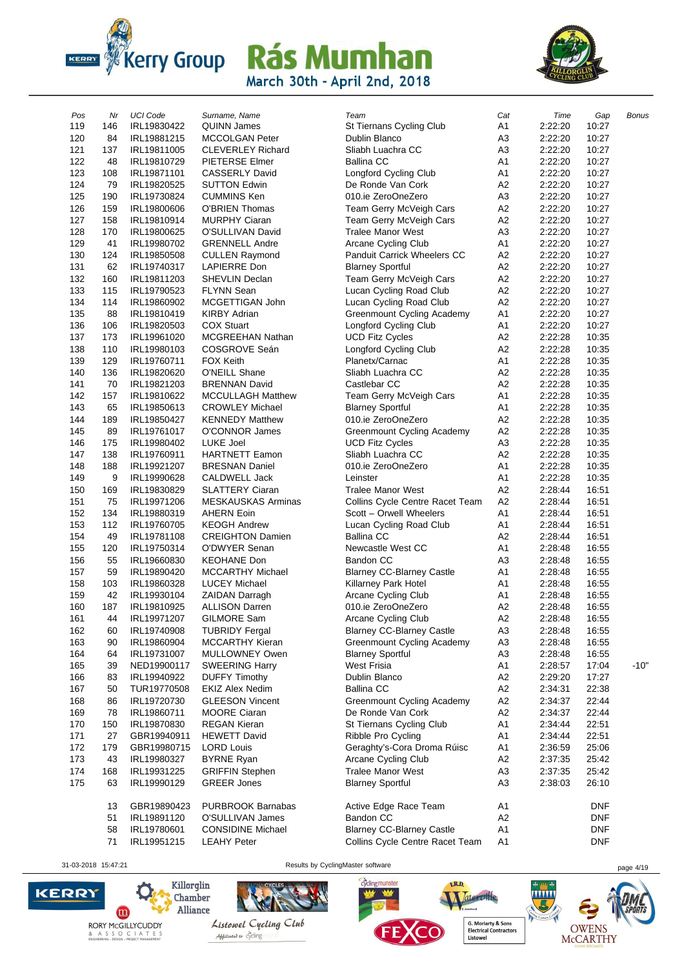



| Pos | Nr  | <b>UCI Code</b> | Surname, Name             | Team                               | Cat            | Time    | Gap        | <b>Bonus</b> |
|-----|-----|-----------------|---------------------------|------------------------------------|----------------|---------|------------|--------------|
| 119 | 146 | IRL19830422     | QUINN James               | St Tiernans Cycling Club           | A <sub>1</sub> | 2:22:20 | 10:27      |              |
| 120 | 84  | IRL19881215     | <b>MCCOLGAN Peter</b>     | Dublin Blanco                      | A <sub>3</sub> | 2:22:20 | 10:27      |              |
| 121 | 137 | IRL19811005     | <b>CLEVERLEY Richard</b>  | Sliabh Luachra CC                  | A <sub>3</sub> | 2:22:20 | 10:27      |              |
| 122 | 48  | IRL19810729     | PIETERSE Elmer            | <b>Ballina CC</b>                  | A <sub>1</sub> | 2:22:20 | 10:27      |              |
| 123 | 108 | IRL19871101     | <b>CASSERLY David</b>     | Longford Cycling Club              | A <sub>1</sub> | 2:22:20 | 10:27      |              |
| 124 | 79  | IRL19820525     | <b>SUTTON Edwin</b>       | De Ronde Van Cork                  | A <sub>2</sub> | 2:22:20 | 10:27      |              |
| 125 | 190 | IRL19730824     | <b>CUMMINS Ken</b>        | 010.ie ZeroOneZero                 | A <sub>3</sub> | 2:22:20 | 10:27      |              |
| 126 | 159 | IRL19800606     | <b>O'BRIEN Thomas</b>     | Team Gerry McVeigh Cars            | A <sub>2</sub> | 2:22:20 | 10:27      |              |
| 127 | 158 | IRL19810914     | <b>MURPHY Ciaran</b>      | Team Gerry McVeigh Cars            | A <sub>2</sub> | 2:22:20 | 10:27      |              |
| 128 | 170 | IRL19800625     | O'SULLIVAN David          | <b>Tralee Manor West</b>           | A <sub>3</sub> | 2:22:20 | 10:27      |              |
| 129 | 41  | IRL19980702     | <b>GRENNELL Andre</b>     | Arcane Cycling Club                | A <sub>1</sub> | 2:22:20 | 10:27      |              |
| 130 | 124 | IRL19850508     | <b>CULLEN Raymond</b>     | <b>Panduit Carrick Wheelers CC</b> | A <sub>2</sub> | 2:22:20 | 10:27      |              |
| 131 | 62  | IRL19740317     | LAPIERRE Don              | <b>Blarney Sportful</b>            | A <sub>2</sub> | 2:22:20 | 10:27      |              |
| 132 | 160 | IRL19811203     | SHEVLIN Declan            | Team Gerry McVeigh Cars            | A <sub>2</sub> | 2:22:20 | 10:27      |              |
| 133 | 115 | IRL19790523     | <b>FLYNN Sean</b>         | Lucan Cycling Road Club            | A <sub>2</sub> | 2:22:20 | 10:27      |              |
| 134 | 114 | IRL19860902     | MCGETTIGAN John           | Lucan Cycling Road Club            | A <sub>2</sub> | 2:22:20 | 10:27      |              |
| 135 | 88  | IRL19810419     | <b>KIRBY Adrian</b>       | Greenmount Cycling Academy         | A <sub>1</sub> | 2:22:20 | 10:27      |              |
| 136 | 106 | IRL19820503     | <b>COX Stuart</b>         | <b>Longford Cycling Club</b>       | A <sub>1</sub> | 2:22:20 | 10:27      |              |
| 137 | 173 | IRL19961020     | MCGREEHAN Nathan          | <b>UCD Fitz Cycles</b>             | A <sub>2</sub> | 2:22:28 | 10:35      |              |
| 138 | 110 | IRL19980103     | COSGROVE Seán             | Longford Cycling Club              | A <sub>2</sub> | 2:22:28 | 10:35      |              |
| 139 | 129 | IRL19760711     | <b>FOX Keith</b>          | Planetx/Carnac                     | A <sub>1</sub> | 2:22:28 | 10:35      |              |
| 140 | 136 | IRL19820620     | O'NEILL Shane             | Sliabh Luachra CC                  | A <sub>2</sub> | 2:22:28 | 10:35      |              |
| 141 | 70  | IRL19821203     | <b>BRENNAN David</b>      | Castlebar CC                       | A <sub>2</sub> | 2:22:28 | 10:35      |              |
| 142 | 157 | IRL19810622     | <b>MCCULLAGH Matthew</b>  | Team Gerry McVeigh Cars            | A <sub>1</sub> | 2:22:28 | 10:35      |              |
| 143 | 65  | IRL19850613     | <b>CROWLEY Michael</b>    | <b>Blarney Sportful</b>            | A <sub>1</sub> | 2:22:28 | 10:35      |              |
| 144 | 189 | IRL19850427     | <b>KENNEDY Matthew</b>    | 010.ie ZeroOneZero                 | A <sub>2</sub> | 2:22:28 | 10:35      |              |
| 145 | 89  | IRL19761017     | O'CONNOR James            | Greenmount Cycling Academy         | A <sub>2</sub> | 2:22:28 | 10:35      |              |
| 146 | 175 | IRL19980402     | LUKE Joel                 | <b>UCD Fitz Cycles</b>             | A <sub>3</sub> | 2:22:28 | 10:35      |              |
| 147 | 138 | IRL19760911     | <b>HARTNETT Eamon</b>     | Sliabh Luachra CC                  | A <sub>2</sub> | 2:22:28 | 10:35      |              |
| 148 | 188 | IRL19921207     | <b>BRESNAN Daniel</b>     | 010.ie ZeroOneZero                 | A <sub>1</sub> | 2:22:28 | 10:35      |              |
| 149 | 9   | IRL19990628     | <b>CALDWELL Jack</b>      | Leinster                           | A <sub>1</sub> | 2:22:28 | 10:35      |              |
| 150 | 169 | IRL19830829     | <b>SLATTERY Ciaran</b>    | <b>Tralee Manor West</b>           | A <sub>2</sub> | 2:28:44 | 16:51      |              |
| 151 | 75  | IRL19971206     | <b>MESKAUSKAS Arminas</b> | Collins Cycle Centre Racet Team    | A <sub>2</sub> | 2:28:44 | 16:51      |              |
| 152 | 134 | IRL19880319     | <b>AHERN Eoin</b>         | Scott - Orwell Wheelers            | A <sub>1</sub> | 2:28:44 | 16:51      |              |
| 153 | 112 | IRL19760705     | <b>KEOGH Andrew</b>       | Lucan Cycling Road Club            | A <sub>1</sub> | 2:28:44 | 16:51      |              |
| 154 | 49  | IRL19781108     | <b>CREIGHTON Damien</b>   | <b>Ballina CC</b>                  | A <sub>2</sub> | 2:28:44 | 16:51      |              |
| 155 | 120 | IRL19750314     | O'DWYER Senan             | Newcastle West CC                  | A <sub>1</sub> | 2:28:48 | 16:55      |              |
| 156 | 55  | IRL19660830     | <b>KEOHANE Don</b>        | Bandon CC                          | A <sub>3</sub> | 2:28:48 | 16:55      |              |
| 157 | 59  | IRL19890420     | MCCARTHY Michael          | <b>Blarney CC-Blarney Castle</b>   | A <sub>1</sub> | 2:28:48 | 16:55      |              |
| 158 | 103 | IRL19860328     | <b>LUCEY Michael</b>      | Killarney Park Hotel               | A <sub>1</sub> | 2:28:48 | 16:55      |              |
| 159 | 42  | IRL19930104     | <b>ZAIDAN Darragh</b>     | Arcane Cycling Club                | A <sub>1</sub> | 2:28:48 | 16:55      |              |
| 160 | 187 | IRL19810925     | <b>ALLISON Darren</b>     | 010.ie ZeroOneZero                 | A2             | 2:28:48 | 16:55      |              |
| 161 | 44  | IRL19971207     | GILMORE Sam               | Arcane Cycling Club                | A2             | 2:28:48 | 16:55      |              |
| 162 | 60  | IRL19740908     | <b>TUBRIDY Fergal</b>     | <b>Blarney CC-Blarney Castle</b>   | A <sub>3</sub> | 2:28:48 | 16:55      |              |
| 163 | 90  | IRL19860904     | <b>MCCARTHY Kieran</b>    | Greenmount Cycling Academy         | A <sub>3</sub> | 2:28:48 | 16:55      |              |
| 164 | 64  | IRL19731007     | MULLOWNEY Owen            | <b>Blarney Sportful</b>            | A <sub>3</sub> | 2:28:48 | 16:55      |              |
| 165 | 39  | NED19900117     | <b>SWEERING Harry</b>     | <b>West Frisia</b>                 | A <sub>1</sub> | 2:28:57 | 17:04      | $-10"$       |
| 166 | 83  | IRL19940922     | <b>DUFFY Timothy</b>      | Dublin Blanco                      | A <sub>2</sub> | 2:29:20 | 17:27      |              |
| 167 | 50  | TUR19770508     | <b>EKIZ Alex Nedim</b>    | <b>Ballina CC</b>                  | A <sub>2</sub> | 2:34:31 | 22:38      |              |
| 168 | 86  | IRL19720730     | <b>GLEESON Vincent</b>    | <b>Greenmount Cycling Academy</b>  | A <sub>2</sub> | 2:34:37 | 22:44      |              |
| 169 | 78  | IRL19860711     | <b>MOORE Ciaran</b>       | De Ronde Van Cork                  | A <sub>2</sub> | 2:34:37 | 22:44      |              |
| 170 | 150 | IRL19870830     | <b>REGAN Kieran</b>       | St Tiernans Cycling Club           | A <sub>1</sub> | 2:34:44 | 22:51      |              |
| 171 | 27  | GBR19940911     | <b>HEWETT David</b>       | Ribble Pro Cycling                 | A <sub>1</sub> | 2:34:44 | 22:51      |              |
| 172 | 179 | GBR19980715     | <b>LORD Louis</b>         | Geraghty's-Cora Droma Rúisc        | A <sub>1</sub> | 2:36:59 | 25:06      |              |
| 173 | 43  | IRL19980327     | <b>BYRNE Ryan</b>         | Arcane Cycling Club                | A <sub>2</sub> | 2:37:35 | 25:42      |              |
| 174 | 168 | IRL19931225     | <b>GRIFFIN Stephen</b>    | <b>Tralee Manor West</b>           | A <sub>3</sub> | 2:37:35 | 25:42      |              |
| 175 | 63  | IRL19990129     | <b>GREER Jones</b>        | <b>Blarney Sportful</b>            | A <sub>3</sub> | 2:38:03 | 26:10      |              |
|     | 13  | GBR19890423     | <b>PURBROOK Barnabas</b>  | Active Edge Race Team              | A <sub>1</sub> |         | <b>DNF</b> |              |
|     | 51  | IRL19891120     | O'SULLIVAN James          | Bandon CC                          | A <sub>2</sub> |         | <b>DNF</b> |              |
|     | 58  | IRL19780601     | <b>CONSIDINE Michael</b>  | <b>Blarney CC-Blarney Castle</b>   | A <sub>1</sub> |         | <b>DNF</b> |              |
|     | 71  | IRL19951215     | <b>LEAHY Peter</b>        | Collins Cycle Centre Racet Team    | A <sub>1</sub> |         | <b>DNF</b> |              |
|     |     |                 |                           |                                    |                |         |            |              |

31-03-2018 15:47:21 Results by CyclingMaster software page 4/19



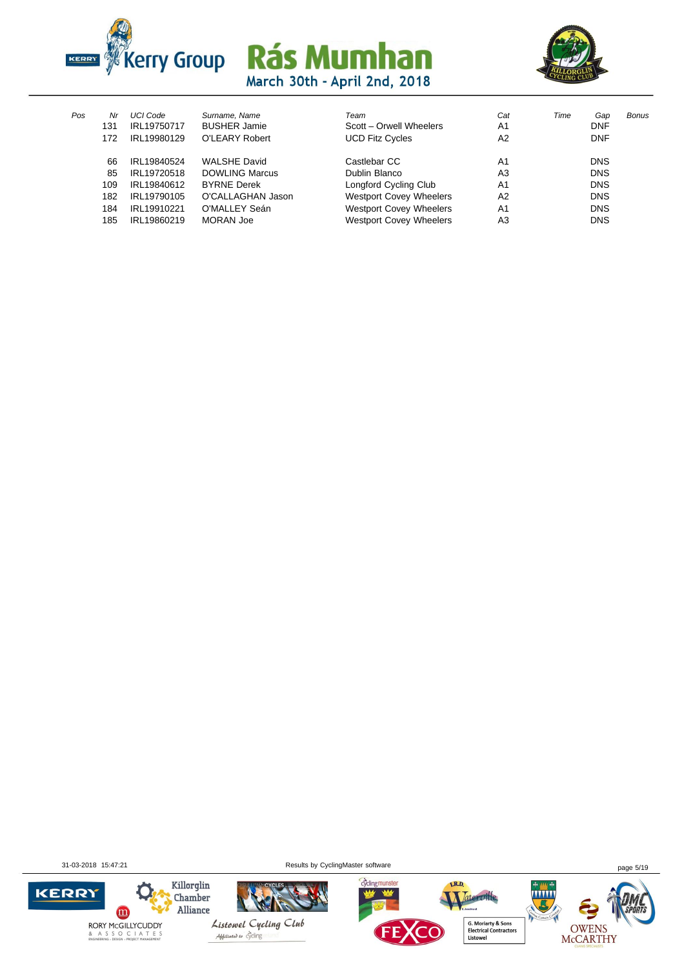



| Pos | Nr  | <b>UCI Code</b> | Surname, Name         | Team                           | Cat            | Time | Gap        | Bonus |
|-----|-----|-----------------|-----------------------|--------------------------------|----------------|------|------------|-------|
|     | 131 | IRL19750717     | <b>BUSHER Jamie</b>   | Scott - Orwell Wheelers        | A <sub>1</sub> |      | <b>DNF</b> |       |
|     | 172 | IRL19980129     | O'LEARY Robert        | <b>UCD Fitz Cycles</b>         | A2             |      | <b>DNF</b> |       |
|     | 66  | IRL19840524     | <b>WALSHE David</b>   | Castlebar CC                   | A <sub>1</sub> |      | <b>DNS</b> |       |
|     | 85  | IRL19720518     | <b>DOWLING Marcus</b> | Dublin Blanco                  | A <sub>3</sub> |      | <b>DNS</b> |       |
|     | 109 | IRL19840612     | <b>BYRNE Derek</b>    | Longford Cycling Club          | A <sub>1</sub> |      | <b>DNS</b> |       |
|     | 182 | IRL19790105     | O'CALLAGHAN Jason     | <b>Westport Covey Wheelers</b> | A2             |      | <b>DNS</b> |       |
|     | 184 | IRL19910221     | O'MALLEY Seán         | <b>Westport Covey Wheelers</b> | A <sub>1</sub> |      | <b>DNS</b> |       |
|     | 185 | IRL19860219     | <b>MORAN Joe</b>      | <b>Westport Covey Wheelers</b> | A <sub>3</sub> |      | <b>DNS</b> |       |
|     |     |                 |                       |                                |                |      |            |       |

31-03-2018 15:47:21 Results by CyclingMaster software page 5/19

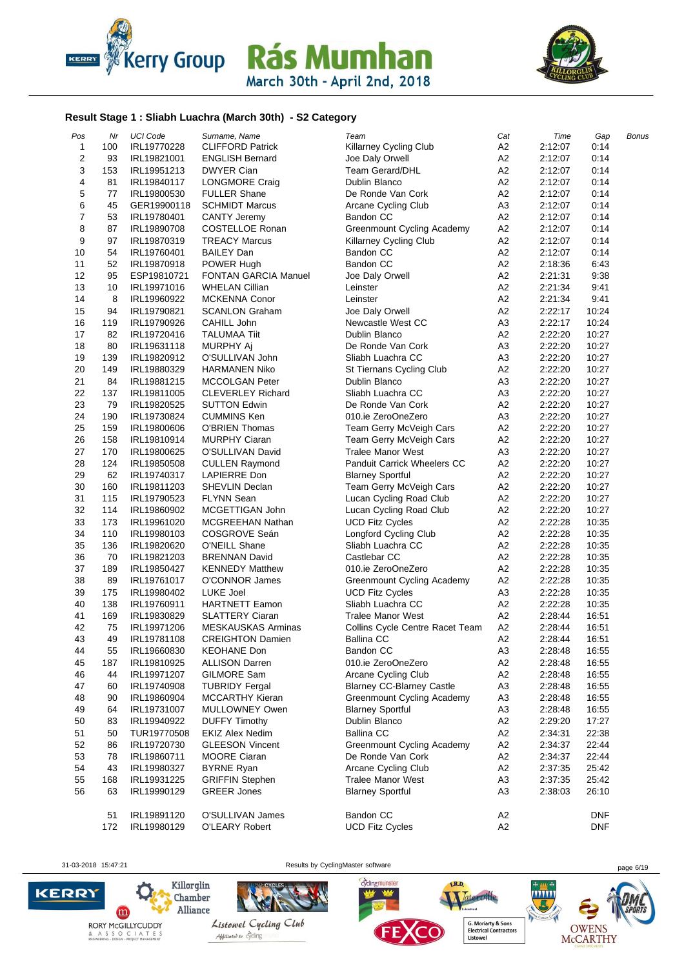



#### **Result Stage 1 : Sliabh Luachra (March 30th) - S2 Category**

| Pos              | Nr  | <b>UCI Code</b> | Surname, Name               | Team                               | Cat            | Time    | Gap        | Bonus |
|------------------|-----|-----------------|-----------------------------|------------------------------------|----------------|---------|------------|-------|
| 1                | 100 | IRL19770228     | <b>CLIFFORD Patrick</b>     | Killarney Cycling Club             | A <sub>2</sub> | 2:12:07 | 0:14       |       |
| $\boldsymbol{2}$ | 93  | IRL19821001     | <b>ENGLISH Bernard</b>      | Joe Daly Orwell                    | A <sub>2</sub> | 2:12:07 | 0:14       |       |
| 3                | 153 | IRL19951213     | <b>DWYER Cian</b>           | <b>Team Gerard/DHL</b>             | A <sub>2</sub> | 2:12:07 | 0:14       |       |
| 4                | 81  | IRL19840117     | LONGMORE Craig              | Dublin Blanco                      | A <sub>2</sub> | 2:12:07 | 0:14       |       |
| 5                | 77  | IRL19800530     | <b>FULLER Shane</b>         | De Ronde Van Cork                  | A <sub>2</sub> | 2:12:07 | 0:14       |       |
| 6                | 45  | GER19900118     | <b>SCHMIDT Marcus</b>       | Arcane Cycling Club                | A <sub>3</sub> | 2:12:07 | 0:14       |       |
| $\boldsymbol{7}$ | 53  | IRL19780401     | <b>CANTY Jeremy</b>         | <b>Bandon CC</b>                   | A <sub>2</sub> | 2:12:07 | 0:14       |       |
| 8                | 87  | IRL19890708     | <b>COSTELLOE Ronan</b>      | Greenmount Cycling Academy         | A <sub>2</sub> | 2:12:07 | 0:14       |       |
| 9                | 97  | IRL19870319     | <b>TREACY Marcus</b>        | Killarney Cycling Club             | A <sub>2</sub> | 2:12:07 | 0:14       |       |
| 10               | 54  | IRL19760401     | <b>BAILEY Dan</b>           | Bandon CC                          | A <sub>2</sub> | 2:12:07 | 0:14       |       |
| 11               | 52  | IRL19870918     | POWER Hugh                  | <b>Bandon CC</b>                   | A <sub>2</sub> | 2:18:36 | 6:43       |       |
| 12               | 95  | ESP19810721     | <b>FONTAN GARCIA Manuel</b> | Joe Daly Orwell                    | A <sub>2</sub> | 2:21:31 | 9:38       |       |
| 13               | 10  | IRL19971016     | <b>WHELAN Cillian</b>       | Leinster                           | A2             | 2:21:34 | 9:41       |       |
| 14               | 8   | IRL19960922     | <b>MCKENNA Conor</b>        | Leinster                           | A <sub>2</sub> | 2:21:34 | 9:41       |       |
| 15               | 94  | IRL19790821     | <b>SCANLON Graham</b>       | Joe Daly Orwell                    | A2             | 2:22:17 | 10:24      |       |
| 16               | 119 | IRL19790926     | CAHILL John                 | Newcastle West CC                  | A <sub>3</sub> | 2:22:17 | 10:24      |       |
| 17               | 82  | IRL19720416     | <b>TALUMAA Tiit</b>         | Dublin Blanco                      | A <sub>2</sub> | 2:22:20 | 10:27      |       |
| 18               | 80  | IRL19631118     | MURPHY Aj                   | De Ronde Van Cork                  | A <sub>3</sub> | 2:22:20 | 10:27      |       |
| 19               | 139 | IRL19820912     | O'SULLIVAN John             | Sliabh Luachra CC                  | A <sub>3</sub> | 2:22:20 | 10:27      |       |
| 20               | 149 | IRL19880329     | <b>HARMANEN Niko</b>        | St Tiernans Cycling Club           | A <sub>2</sub> | 2:22:20 | 10:27      |       |
| 21               | 84  | IRL19881215     | <b>MCCOLGAN Peter</b>       | Dublin Blanco                      | A <sub>3</sub> | 2:22:20 | 10:27      |       |
| 22               | 137 | IRL19811005     | <b>CLEVERLEY Richard</b>    | Sliabh Luachra CC                  | A <sub>3</sub> | 2:22:20 | 10:27      |       |
| 23               | 79  | IRL19820525     | <b>SUTTON Edwin</b>         | De Ronde Van Cork                  | A <sub>2</sub> | 2:22:20 | 10:27      |       |
| 24               | 190 | IRL19730824     | <b>CUMMINS Ken</b>          | 010.ie ZeroOneZero                 | A <sub>3</sub> | 2:22:20 | 10:27      |       |
| 25               | 159 | IRL19800606     | <b>O'BRIEN Thomas</b>       | Team Gerry McVeigh Cars            | A <sub>2</sub> | 2:22:20 | 10:27      |       |
| 26               | 158 | IRL19810914     | <b>MURPHY Ciaran</b>        | Team Gerry McVeigh Cars            | A2             | 2:22:20 | 10:27      |       |
| 27               | 170 | IRL19800625     | O'SULLIVAN David            | <b>Tralee Manor West</b>           | A <sub>3</sub> | 2:22:20 | 10:27      |       |
| 28               | 124 | IRL19850508     | <b>CULLEN Raymond</b>       | <b>Panduit Carrick Wheelers CC</b> | A <sub>2</sub> | 2:22:20 | 10:27      |       |
| 29               | 62  | IRL19740317     | LAPIERRE Don                | <b>Blarney Sportful</b>            | A <sub>2</sub> | 2:22:20 | 10:27      |       |
| 30               | 160 | IRL19811203     | SHEVLIN Declan              | Team Gerry McVeigh Cars            | A2             | 2:22:20 | 10:27      |       |
| 31               | 115 | IRL19790523     | <b>FLYNN Sean</b>           | Lucan Cycling Road Club            | A <sub>2</sub> | 2:22:20 | 10:27      |       |
| 32               | 114 | IRL19860902     | MCGETTIGAN John             | Lucan Cycling Road Club            | A2             | 2:22:20 | 10:27      |       |
| 33               | 173 | IRL19961020     | <b>MCGREEHAN Nathan</b>     | <b>UCD Fitz Cycles</b>             | A <sub>2</sub> | 2:22:28 | 10:35      |       |
| 34               | 110 | IRL19980103     | COSGROVE Seán               | Longford Cycling Club              | A <sub>2</sub> | 2:22:28 | 10:35      |       |
| 35               | 136 | IRL19820620     | O'NEILL Shane               | Sliabh Luachra CC                  | A <sub>2</sub> | 2:22:28 | 10:35      |       |
| 36               | 70  | IRL19821203     | <b>BRENNAN David</b>        | Castlebar CC                       | A <sub>2</sub> | 2:22:28 | 10:35      |       |
| 37               | 189 | IRL19850427     | <b>KENNEDY Matthew</b>      | 010.ie ZeroOneZero                 | A <sub>2</sub> | 2:22:28 | 10:35      |       |
| 38               | 89  | IRL19761017     | O'CONNOR James              | Greenmount Cycling Academy         | A <sub>2</sub> | 2:22:28 | 10:35      |       |
| 39               | 175 | IRL19980402     | LUKE Joel                   | <b>UCD Fitz Cycles</b>             | A <sub>3</sub> | 2:22:28 | 10:35      |       |
| 40               | 138 | IRL19760911     | <b>HARTNETT Eamon</b>       | Sliabh Luachra CC                  | A <sub>2</sub> | 2:22:28 | 10:35      |       |
| 41               | 169 | IRL19830829     | <b>SLATTERY Ciaran</b>      | <b>Tralee Manor West</b>           | A <sub>2</sub> | 2:28:44 | 16:51      |       |
| 42               | 75  | IRL19971206     | <b>MESKAUSKAS Arminas</b>   | Collins Cycle Centre Racet Team    | A2             | 2:28:44 | 16:51      |       |
| 43               | 49  | IRL19781108     | <b>CREIGHTON Damien</b>     | <b>Ballina CC</b>                  | A2             | 2:28:44 | 16:51      |       |
| 44               | 55  | IRL19660830     | <b>KEOHANE Don</b>          | Bandon CC                          | A <sub>3</sub> | 2:28:48 | 16:55      |       |
| 45               | 187 | IRL19810925     | <b>ALLISON Darren</b>       | 010.ie ZeroOneZero                 | A <sub>2</sub> | 2:28:48 | 16:55      |       |
| 46               | 44  | IRL19971207     | GILMORE Sam                 | Arcane Cycling Club                | A <sub>2</sub> | 2:28:48 | 16:55      |       |
| 47               | 60  | IRL19740908     | <b>TUBRIDY Fergal</b>       | <b>Blarney CC-Blarney Castle</b>   | A <sub>3</sub> | 2:28:48 | 16:55      |       |
| 48               | 90  | IRL19860904     | MCCARTHY Kieran             | Greenmount Cycling Academy         | A <sub>3</sub> | 2:28:48 | 16:55      |       |
| 49               | 64  | IRL19731007     | MULLOWNEY Owen              | <b>Blarney Sportful</b>            | A <sub>3</sub> | 2:28:48 | 16:55      |       |
| 50               | 83  | IRL19940922     | <b>DUFFY Timothy</b>        | Dublin Blanco                      | A <sub>2</sub> | 2:29:20 | 17:27      |       |
| 51               | 50  | TUR19770508     | <b>EKIZ Alex Nedim</b>      | <b>Ballina CC</b>                  | A <sub>2</sub> | 2:34:31 | 22:38      |       |
| 52               | 86  | IRL19720730     | <b>GLEESON Vincent</b>      | <b>Greenmount Cycling Academy</b>  | A <sub>2</sub> | 2:34:37 | 22:44      |       |
| 53               | 78  | IRL19860711     | <b>MOORE Ciaran</b>         | De Ronde Van Cork                  | A2             | 2:34:37 | 22:44      |       |
| 54               | 43  | IRL19980327     | <b>BYRNE Ryan</b>           | Arcane Cycling Club                | A <sub>2</sub> | 2:37:35 | 25:42      |       |
| 55               | 168 | IRL19931225     | <b>GRIFFIN Stephen</b>      | <b>Tralee Manor West</b>           | A <sub>3</sub> | 2:37:35 | 25:42      |       |
| 56               | 63  | IRL19990129     | <b>GREER Jones</b>          | <b>Blarney Sportful</b>            | A <sub>3</sub> | 2:38:03 | 26:10      |       |
|                  | 51  | IRL19891120     | O'SULLIVAN James            | Bandon CC                          | A <sub>2</sub> |         | <b>DNF</b> |       |
|                  | 172 | IRL19980129     | O'LEARY Robert              | <b>UCD Fitz Cycles</b>             | A <sub>2</sub> |         | <b>DNF</b> |       |

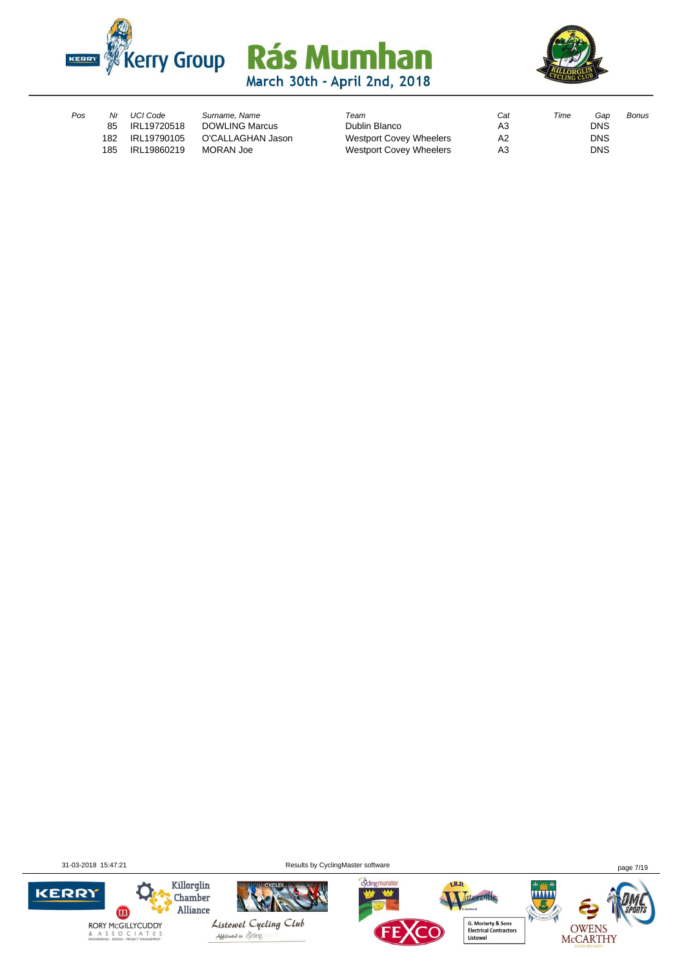



| Pos | Nr  | UCI Code    | Surname, Name         | Team                           | Cat | Time | Gan        | Bonus |
|-----|-----|-------------|-----------------------|--------------------------------|-----|------|------------|-------|
|     | 85  | IRL19720518 | <b>DOWLING Marcus</b> | Dublin Blanco                  | A3  |      | <b>DNS</b> |       |
|     | 182 | IRL19790105 | O'CALLAGHAN Jason     | <b>Westport Covey Wheelers</b> | A2  |      | <b>DNS</b> |       |
|     | 185 | IRL19860219 | MORAN Joe             | <b>Westport Covey Wheelers</b> | A3  |      | <b>DNS</b> |       |

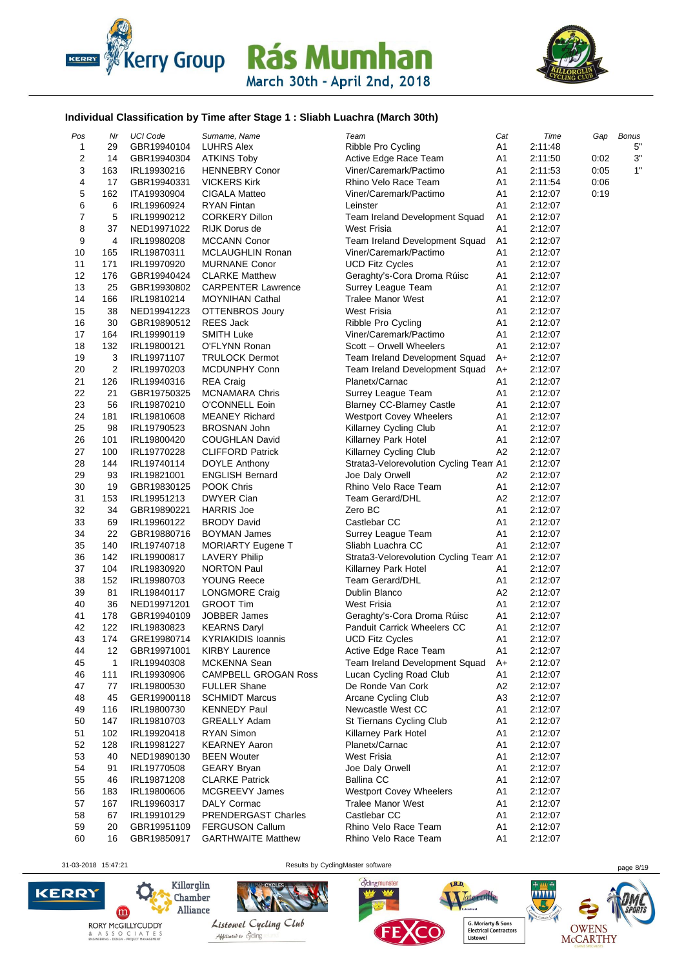



### **Individual Classification by Time after Stage 1 : Sliabh Luachra (March 30th)**

| Pos            | Nr  | <b>UCI Code</b> | Surname, Name               | Team                                   | Cat            | Time    | Gap  | <b>Bonus</b> |
|----------------|-----|-----------------|-----------------------------|----------------------------------------|----------------|---------|------|--------------|
| 1              | 29  | GBR19940104     | <b>LUHRS Alex</b>           | Ribble Pro Cycling                     | A1             | 2:11:48 |      | 5"           |
| 2              | 14  | GBR19940304     | <b>ATKINS Toby</b>          | Active Edge Race Team                  | A1             | 2:11:50 | 0:02 | 3"           |
| 3              | 163 | IRL19930216     | <b>HENNEBRY Conor</b>       | Viner/Caremark/Pactimo                 | A1             | 2:11:53 | 0:05 | 1"           |
| 4              | 17  | GBR19940331     | <b>VICKERS Kirk</b>         | Rhino Velo Race Team                   | A1             | 2:11:54 | 0:06 |              |
| 5              | 162 | ITA19930904     | CIGALA Matteo               | Viner/Caremark/Pactimo                 | A <sub>1</sub> | 2:12:07 | 0:19 |              |
| 6              | 6   | IRL19960924     | <b>RYAN Fintan</b>          | Leinster                               | A1             | 2:12:07 |      |              |
| $\overline{7}$ | 5   | IRL19990212     | <b>CORKERY Dillon</b>       | Team Ireland Development Squad         | A <sub>1</sub> | 2:12:07 |      |              |
| 8              | 37  | NED19971022     | RIJK Dorus de               | West Frisia                            | A1             | 2:12:07 |      |              |
| 9              | 4   | IRL19980208     | <b>MCCANN Conor</b>         | Team Ireland Development Squad         | A <sub>1</sub> | 2:12:07 |      |              |
| 10             | 165 | IRL19870311     | MCLAUGHLIN Ronan            | Viner/Caremark/Pactimo                 | A1             | 2:12:07 |      |              |
| 11             | 171 | IRL19970920     | <b>MURNANE Conor</b>        | <b>UCD Fitz Cycles</b>                 | A1             | 2:12:07 |      |              |
| 12             | 176 | GBR19940424     | <b>CLARKE Matthew</b>       | Geraghty's-Cora Droma Rúisc            | A1             | 2:12:07 |      |              |
| 13             | 25  | GBR19930802     | <b>CARPENTER Lawrence</b>   | Surrey League Team                     | A1             | 2:12:07 |      |              |
| 14             |     | IRL19810214     |                             | <b>Tralee Manor West</b>               | A1             | 2:12:07 |      |              |
|                | 166 |                 | <b>MOYNIHAN Cathal</b>      |                                        |                |         |      |              |
| 15             | 38  | NED19941223     | OTTENBROS Joury             | West Frisia                            | A <sub>1</sub> | 2:12:07 |      |              |
| 16             | 30  | GBR19890512     | <b>REES Jack</b>            | Ribble Pro Cycling                     | A1             | 2:12:07 |      |              |
| 17             | 164 | IRL19990119     | <b>SMITH Luke</b>           | Viner/Caremark/Pactimo                 | A <sub>1</sub> | 2:12:07 |      |              |
| 18             | 132 | IRL19800121     | O'FLYNN Ronan               | Scott - Orwell Wheelers                | A1             | 2:12:07 |      |              |
| 19             | 3   | IRL19971107     | <b>TRULOCK Dermot</b>       | Team Ireland Development Squad         | $A+$           | 2:12:07 |      |              |
| 20             | 2   | IRL19970203     | MCDUNPHY Conn               | Team Ireland Development Squad         | A+             | 2:12:07 |      |              |
| 21             | 126 | IRL19940316     | <b>REA Craig</b>            | Planetx/Carnac                         | A1             | 2:12:07 |      |              |
| 22             | 21  | GBR19750325     | <b>MCNAMARA Chris</b>       | Surrey League Team                     | A1             | 2:12:07 |      |              |
| 23             | 56  | IRL19870210     | O'CONNELL Eoin              | <b>Blarney CC-Blarney Castle</b>       | A1             | 2:12:07 |      |              |
| 24             | 181 | IRL19810608     | <b>MEANEY Richard</b>       | Westport Covey Wheelers                | A <sub>1</sub> | 2:12:07 |      |              |
| 25             | 98  | IRL19790523     | BROSNAN John                | Killarney Cycling Club                 | A1             | 2:12:07 |      |              |
| 26             | 101 | IRL19800420     | <b>COUGHLAN David</b>       | Killarney Park Hotel                   | A1             | 2:12:07 |      |              |
| 27             | 100 | IRL19770228     | <b>CLIFFORD Patrick</b>     | Killarney Cycling Club                 | A2             | 2:12:07 |      |              |
| 28             | 144 | IRL19740114     | DOYLE Anthony               | Strata3-Velorevolution Cycling Team A1 |                | 2:12:07 |      |              |
| 29             | 93  | IRL19821001     | <b>ENGLISH Bernard</b>      | Joe Daly Orwell                        | A2             | 2:12:07 |      |              |
| 30             | 19  | GBR19830125     | POOK Chris                  | Rhino Velo Race Team                   | A1             | 2:12:07 |      |              |
| 31             | 153 | IRL19951213     | <b>DWYER Cian</b>           | Team Gerard/DHL                        | A <sub>2</sub> | 2:12:07 |      |              |
| 32             | 34  | GBR19890221     | <b>HARRIS Joe</b>           | Zero BC                                | A1             | 2:12:07 |      |              |
| 33             | 69  | IRL19960122     | <b>BRODY David</b>          | Castlebar CC                           | A1             | 2:12:07 |      |              |
| 34             | 22  | GBR19880716     | <b>BOYMAN James</b>         | Surrey League Team                     | A <sub>1</sub> | 2:12:07 |      |              |
| 35             | 140 | IRL19740718     | <b>MORIARTY Eugene T</b>    | Sliabh Luachra CC                      | A <sub>1</sub> | 2:12:07 |      |              |
| 36             | 142 |                 | <b>LAVERY Philip</b>        |                                        |                | 2:12:07 |      |              |
|                |     | IRL19900817     |                             | Strata3-Velorevolution Cycling Team A1 |                |         |      |              |
| 37             | 104 | IRL19830920     | <b>NORTON Paul</b>          | Killarney Park Hotel                   | A1             | 2:12:07 |      |              |
| 38             | 152 | IRL19980703     | <b>YOUNG Reece</b>          | Team Gerard/DHL                        | A1             | 2:12:07 |      |              |
| 39             | 81  | IRL19840117     | <b>LONGMORE Craig</b>       | Dublin Blanco                          | A <sub>2</sub> | 2:12:07 |      |              |
| 40             | 36  | NED19971201     | <b>GROOT Tim</b>            | West Frisia                            | A1             | 2:12:07 |      |              |
| 41             | 178 | GBR19940109     | <b>JOBBER James</b>         | Geraghty's-Cora Droma Rúisc            | A1             | 2:12:07 |      |              |
| 42             | 122 | IRL19830823     | <b>KEARNS Daryl</b>         | <b>Panduit Carrick Wheelers CC</b>     | A <sub>1</sub> | 2:12:07 |      |              |
| 43             | 174 | GRE19980714     | <b>KYRIAKIDIS Ioannis</b>   | <b>UCD Fitz Cycles</b>                 | A1             | 2:12:07 |      |              |
| 44             | 12  | GBR19971001     | <b>KIRBY Laurence</b>       | Active Edge Race Team                  | A <sub>1</sub> | 2:12:07 |      |              |
| 45             | 1   | IRL19940308     | MCKENNA Sean                | Team Ireland Development Squad         | A+             | 2:12:07 |      |              |
| 46             | 111 | IRL19930906     | <b>CAMPBELL GROGAN Ross</b> | Lucan Cycling Road Club                | A1             | 2:12:07 |      |              |
| 47             | 77  | IRL19800530     | <b>FULLER Shane</b>         | De Ronde Van Cork                      | A <sub>2</sub> | 2:12:07 |      |              |
| 48             | 45  | GER19900118     | <b>SCHMIDT Marcus</b>       | Arcane Cycling Club                    | ΑЗ             | 2:12:07 |      |              |
| 49             | 116 | IRL19800730     | <b>KENNEDY Paul</b>         | Newcastle West CC                      | A1             | 2:12:07 |      |              |
| 50             | 147 | IRL19810703     | <b>GREALLY Adam</b>         | St Tiernans Cycling Club               | Α1             | 2:12:07 |      |              |
| 51             | 102 | IRL19920418     | RYAN Simon                  | Killarney Park Hotel                   | Α1             | 2:12:07 |      |              |
| 52             | 128 | IRL19981227     | <b>KEARNEY Aaron</b>        | Planetx/Carnac                         | A1             | 2:12:07 |      |              |
| 53             | 40  | NED19890130     | <b>BEEN Wouter</b>          | <b>West Frisia</b>                     | A1             | 2:12:07 |      |              |
| 54             | 91  | IRL19770508     | <b>GEARY Bryan</b>          | Joe Daly Orwell                        | A1             | 2:12:07 |      |              |
| 55             | 46  | IRL19871208     | <b>CLARKE Patrick</b>       | <b>Ballina CC</b>                      | A1             | 2:12:07 |      |              |
| 56             | 183 | IRL19800606     | <b>MCGREEVY James</b>       | <b>Westport Covey Wheelers</b>         | A1             | 2:12:07 |      |              |
| 57             | 167 |                 | DALY Cormac                 | <b>Tralee Manor West</b>               |                | 2:12:07 |      |              |
|                |     | IRL19960317     |                             |                                        | A1             |         |      |              |
| 58             | 67  | IRL19910129     | PRENDERGAST Charles         | Castlebar CC                           | A1             | 2:12:07 |      |              |
| 59             | 20  | GBR19951109     | <b>FERGUSON Callum</b>      | Rhino Velo Race Team                   | A1             | 2:12:07 |      |              |
| 60             | 16  | GBR19850917     | <b>GARTHWAITE Matthew</b>   | Rhino Velo Race Team                   | A1             | 2:12:07 |      |              |

31-03-2018 15:47:21 Results by CyclingMaster software page 8/19



 $\mathbf{m}$ RORY MCGILLYCUDDY & A S S O C I A T E S<br>ENGINEERING - DESIGN - PROJECT MANAGEMENT

Killorglin

Chamber Alliance



Abbiliated to cycling

cyclingmunster



LR.D.

G. Moriarty & Sons<br>Electrical Contractors<br>Listowel

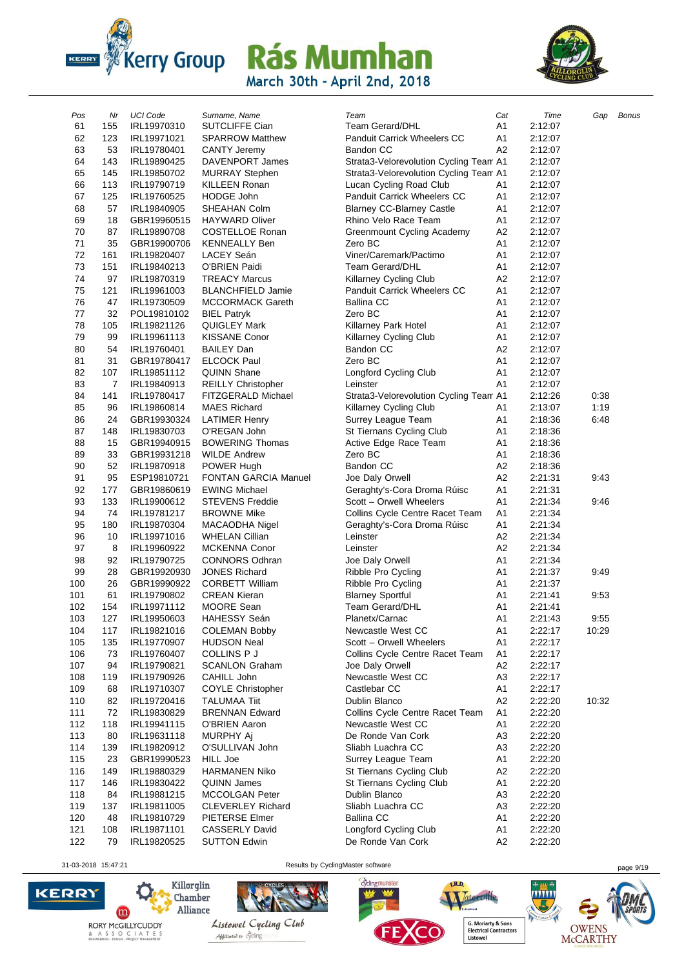



| Pos | Nr  | <b>UCI Code</b> | Surname, Name               | Team                                   | Cat            | Time    | Gap   | <b>Bonus</b> |
|-----|-----|-----------------|-----------------------------|----------------------------------------|----------------|---------|-------|--------------|
| 61  | 155 | IRL19970310     | SUTCLIFFE Cian              | Team Gerard/DHL                        | A1             | 2:12:07 |       |              |
| 62  | 123 | IRL19971021     | <b>SPARROW Matthew</b>      | <b>Panduit Carrick Wheelers CC</b>     | A <sub>1</sub> | 2:12:07 |       |              |
| 63  | 53  | IRL19780401     | <b>CANTY Jeremy</b>         | Bandon CC                              | A2             | 2:12:07 |       |              |
| 64  | 143 | IRL19890425     | DAVENPORT James             | Strata3-Velorevolution Cycling Team A1 |                | 2:12:07 |       |              |
| 65  | 145 | IRL19850702     | <b>MURRAY Stephen</b>       | Strata3-Velorevolution Cycling Team A1 |                | 2:12:07 |       |              |
| 66  | 113 | IRL19790719     | <b>KILLEEN Ronan</b>        | Lucan Cycling Road Club                | A1             | 2:12:07 |       |              |
| 67  | 125 | IRL19760525     | <b>HODGE John</b>           | Panduit Carrick Wheelers CC            | A1             | 2:12:07 |       |              |
| 68  | 57  | IRL19840905     | SHEAHAN Colm                | <b>Blarney CC-Blarney Castle</b>       | A <sub>1</sub> | 2:12:07 |       |              |
| 69  | 18  | GBR19960515     | <b>HAYWARD Oliver</b>       | Rhino Velo Race Team                   | A <sub>1</sub> | 2:12:07 |       |              |
| 70  | 87  | IRL19890708     | <b>COSTELLOE Ronan</b>      | Greenmount Cycling Academy             | A <sub>2</sub> | 2:12:07 |       |              |
| 71  | 35  | GBR19900706     | <b>KENNEALLY Ben</b>        | Zero BC                                | A1             | 2:12:07 |       |              |
| 72  | 161 | IRL19820407     | LACEY Seán                  | Viner/Caremark/Pactimo                 | A <sub>1</sub> | 2:12:07 |       |              |
| 73  | 151 | IRL19840213     | O'BRIEN Paidi               | Team Gerard/DHL                        | A <sub>1</sub> | 2:12:07 |       |              |
| 74  | 97  | IRL19870319     | <b>TREACY Marcus</b>        | Killarney Cycling Club                 | A <sub>2</sub> | 2:12:07 |       |              |
| 75  | 121 | IRL19961003     | <b>BLANCHFIELD Jamie</b>    | Panduit Carrick Wheelers CC            | A <sub>1</sub> | 2:12:07 |       |              |
| 76  | 47  | IRL19730509     | <b>MCCORMACK Gareth</b>     | Ballina CC                             | A <sub>1</sub> | 2:12:07 |       |              |
| 77  | 32  | POL19810102     | <b>BIEL Patryk</b>          | Zero BC                                | A1             | 2:12:07 |       |              |
| 78  | 105 | IRL19821126     | QUIGLEY Mark                | Killarney Park Hotel                   | A <sub>1</sub> | 2:12:07 |       |              |
| 79  | 99  | IRL19961113     | <b>KISSANE Conor</b>        | Killarney Cycling Club                 | A1             | 2:12:07 |       |              |
| 80  | 54  | IRL19760401     | <b>BAILEY Dan</b>           | Bandon CC                              | A <sub>2</sub> | 2:12:07 |       |              |
| 81  | 31  | GBR19780417     | <b>ELCOCK Paul</b>          | Zero BC                                | A1             | 2:12:07 |       |              |
| 82  | 107 | IRL19851112     | <b>QUINN Shane</b>          | Longford Cycling Club                  | A <sub>1</sub> | 2:12:07 |       |              |
| 83  | 7   | IRL19840913     | <b>REILLY Christopher</b>   | Leinster                               | A <sub>1</sub> | 2:12:07 |       |              |
| 84  | 141 | IRL19780417     | FITZGERALD Michael          | Strata3-Velorevolution Cycling Team A1 |                | 2:12:26 | 0:38  |              |
| 85  | 96  | IRL19860814     | <b>MAES Richard</b>         | Killarney Cycling Club                 | A1             | 2:13:07 | 1:19  |              |
| 86  | 24  | GBR19930324     | <b>LATIMER Henry</b>        | Surrey League Team                     | A1             | 2:18:36 | 6:48  |              |
| 87  | 148 | IRL19830703     | O'REGAN John                | St Tiernans Cycling Club               | A <sub>1</sub> | 2:18:36 |       |              |
| 88  | 15  | GBR19940915     | <b>BOWERING Thomas</b>      | Active Edge Race Team                  | A <sub>1</sub> | 2:18:36 |       |              |
| 89  | 33  | GBR19931218     | <b>WILDE Andrew</b>         | Zero BC                                | A1             | 2:18:36 |       |              |
| 90  | 52  | IRL19870918     | POWER Hugh                  | <b>Bandon CC</b>                       | A <sub>2</sub> | 2:18:36 |       |              |
| 91  | 95  | ESP19810721     | <b>FONTAN GARCIA Manuel</b> | Joe Daly Orwell                        | A <sub>2</sub> | 2:21:31 | 9:43  |              |
| 92  | 177 | GBR19860619     | <b>EWING Michael</b>        | Geraghty's-Cora Droma Rúisc            | A <sub>1</sub> | 2:21:31 |       |              |
| 93  | 133 | IRL19900612     | <b>STEVENS Freddie</b>      | Scott - Orwell Wheelers                | A <sub>1</sub> | 2:21:34 | 9:46  |              |
| 94  | 74  | IRL19781217     | <b>BROWNE Mike</b>          | Collins Cycle Centre Racet Team        | A <sub>1</sub> | 2:21:34 |       |              |
| 95  | 180 | IRL19870304     | MACAODHA Nigel              | Geraghty's-Cora Droma Rúisc            | A <sub>1</sub> | 2:21:34 |       |              |
| 96  | 10  | IRL19971016     | <b>WHELAN Cillian</b>       | Leinster                               | A <sub>2</sub> | 2:21:34 |       |              |
| 97  | 8   | IRL19960922     | <b>MCKENNA Conor</b>        | Leinster                               | A <sub>2</sub> | 2:21:34 |       |              |
| 98  | 92  | IRL19790725     | <b>CONNORS Odhran</b>       | Joe Daly Orwell                        | A <sub>1</sub> | 2:21:34 |       |              |
| 99  | 28  | GBR19920930     | <b>JONES Richard</b>        | Ribble Pro Cycling                     | A1             | 2:21:37 | 9:49  |              |
| 100 | 26  | GBR19990922     | <b>CORBETT William</b>      | Ribble Pro Cycling                     | A1             | 2:21:37 |       |              |
| 101 | 61  | IRL19790802     | <b>CREAN Kieran</b>         | <b>Blarney Sportful</b>                | A <sub>1</sub> | 2:21:41 | 9:53  |              |
| 102 | 154 | IRL19971112     | MOORE Sean                  | Team Gerard/DHL                        | A1             | 2:21:41 |       |              |
| 103 | 127 | IRL19950603     | HAHESSY Seán                | Planetx/Carnac                         | A1             | 2:21:43 | 9:55  |              |
| 104 | 117 | IRL19821016     | <b>COLEMAN Bobby</b>        | Newcastle West CC                      | A1             | 2:22:17 | 10:29 |              |
| 105 | 135 | IRL19770907     | <b>HUDSON Neal</b>          | Scott - Orwell Wheelers                | A <sub>1</sub> | 2:22:17 |       |              |
| 106 | 73  | IRL19760407     | COLLINS P J                 | Collins Cycle Centre Racet Team        | A <sub>1</sub> | 2:22:17 |       |              |
| 107 | 94  | IRL19790821     | <b>SCANLON Graham</b>       | Joe Daly Orwell                        | A <sub>2</sub> | 2:22:17 |       |              |
| 108 | 119 | IRL19790926     | CAHILL John                 | Newcastle West CC                      | A <sub>3</sub> | 2:22:17 |       |              |
| 109 | 68  | IRL19710307     | <b>COYLE Christopher</b>    | Castlebar CC                           | A1             | 2:22:17 |       |              |
| 110 | 82  | IRL19720416     | <b>TALUMAA Tiit</b>         | Dublin Blanco                          | A <sub>2</sub> | 2:22:20 | 10:32 |              |
| 111 | 72  | IRL19830829     | <b>BRENNAN Edward</b>       | Collins Cycle Centre Racet Team        | A <sub>1</sub> | 2:22:20 |       |              |
| 112 | 118 | IRL19941115     | O'BRIEN Aaron               | Newcastle West CC                      | A <sub>1</sub> | 2:22:20 |       |              |
| 113 | 80  | IRL19631118     | MURPHY Aj                   | De Ronde Van Cork                      | A <sub>3</sub> | 2:22:20 |       |              |
| 114 | 139 | IRL19820912     | O'SULLIVAN John             | Sliabh Luachra CC                      | A <sub>3</sub> | 2:22:20 |       |              |
| 115 | 23  | GBR19990523     | <b>HILL Joe</b>             | Surrey League Team                     | A1             | 2:22:20 |       |              |
| 116 | 149 | IRL19880329     | <b>HARMANEN Niko</b>        | St Tiernans Cycling Club               | A2             | 2:22:20 |       |              |
| 117 | 146 | IRL19830422     | <b>QUINN James</b>          | St Tiernans Cycling Club               | A1             | 2:22:20 |       |              |
| 118 | 84  | IRL19881215     | <b>MCCOLGAN Peter</b>       | Dublin Blanco                          | A <sub>3</sub> | 2:22:20 |       |              |
| 119 | 137 | IRL19811005     | <b>CLEVERLEY Richard</b>    | Sliabh Luachra CC                      | A3             | 2:22:20 |       |              |
| 120 | 48  | IRL19810729     | PIETERSE Elmer              | <b>Ballina CC</b>                      | A1             | 2:22:20 |       |              |
| 121 | 108 | IRL19871101     | <b>CASSERLY David</b>       | Longford Cycling Club                  | A <sub>1</sub> | 2:22:20 |       |              |
| 122 | 79  | IRL19820525     | <b>SUTTON Edwin</b>         | De Ronde Van Cork                      | A <sub>2</sub> | 2:22:20 |       |              |
|     |     |                 |                             |                                        |                |         |       |              |

31-03-2018 15:47:21 Results by CyclingMaster software page 9/19





Listowel Cycling Club Abbuilded to cycling

cyclingmunster

Materoille imited G. Moriarty & Sons<br>Electrical Contractors<br>Listowel

LR.D.

**WWW** OWENS<br>McCARTHY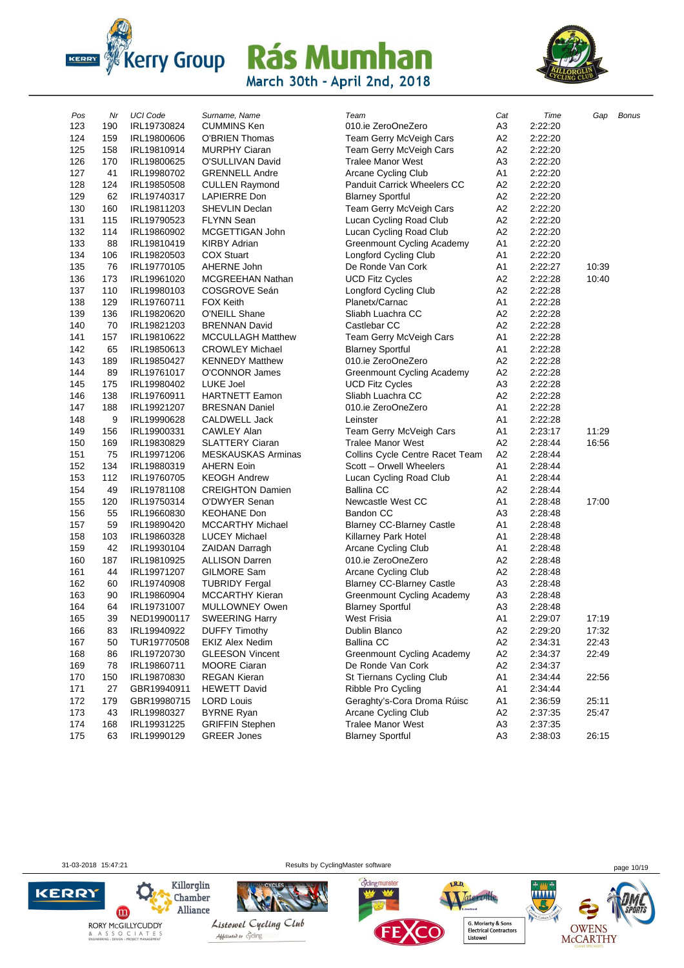



| Pos | Nr  | <b>UCI Code</b> | Surname, Name            | Team                               | Cat            | Time    | Gap   | <b>Bonus</b> |
|-----|-----|-----------------|--------------------------|------------------------------------|----------------|---------|-------|--------------|
| 123 | 190 | IRL19730824     | <b>CUMMINS Ken</b>       | 010.ie ZeroOneZero                 | A3             | 2:22:20 |       |              |
| 124 | 159 | IRL19800606     | O'BRIEN Thomas           | Team Gerry McVeigh Cars            | А2             | 2:22:20 |       |              |
| 125 | 158 | IRL19810914     | <b>MURPHY Ciaran</b>     | Team Gerry McVeigh Cars            | A <sub>2</sub> | 2:22:20 |       |              |
| 126 | 170 | IRL19800625     | O'SULLIVAN David         | <b>Tralee Manor West</b>           | A <sub>3</sub> | 2:22:20 |       |              |
| 127 | 41  | IRL19980702     | <b>GRENNELL Andre</b>    | <b>Arcane Cycling Club</b>         | A1             | 2:22:20 |       |              |
| 128 | 124 | IRL19850508     | <b>CULLEN Raymond</b>    | <b>Panduit Carrick Wheelers CC</b> | A <sub>2</sub> | 2:22:20 |       |              |
| 129 | 62  | IRL19740317     | LAPIERRE Don             | <b>Blarney Sportful</b>            | A <sub>2</sub> | 2:22:20 |       |              |
| 130 | 160 | IRL19811203     | <b>SHEVLIN Declan</b>    | Team Gerry McVeigh Cars            | A2             | 2:22:20 |       |              |
| 131 | 115 | IRL19790523     | <b>FLYNN Sean</b>        | Lucan Cycling Road Club            | A2             | 2:22:20 |       |              |
| 132 | 114 | IRL19860902     | MCGETTIGAN John          | Lucan Cycling Road Club            | A2             | 2:22:20 |       |              |
| 133 | 88  | IRL19810419     | <b>KIRBY Adrian</b>      | Greenmount Cycling Academy         | A1             | 2:22:20 |       |              |
| 134 | 106 | IRL19820503     | <b>COX Stuart</b>        | Longford Cycling Club              | A1             | 2:22:20 |       |              |
| 135 | 76  | IRL19770105     | AHERNE John              | De Ronde Van Cork                  | A1             | 2:22:27 | 10:39 |              |
| 136 | 173 | IRL19961020     | MCGREEHAN Nathan         | <b>UCD Fitz Cycles</b>             | A <sub>2</sub> | 2:22:28 | 10:40 |              |
| 137 | 110 | IRL19980103     | COSGROVE Seán            | Longford Cycling Club              | A2             | 2:22:28 |       |              |
| 138 | 129 | IRL19760711     | <b>FOX Keith</b>         | Planetx/Carnac                     | A1             | 2:22:28 |       |              |
| 139 | 136 | IRL19820620     | O'NEILL Shane            | Sliabh Luachra CC                  | А2             | 2:22:28 |       |              |
| 140 | 70  | IRL19821203     | <b>BRENNAN David</b>     | Castlebar CC                       | A2             | 2:22:28 |       |              |
| 141 | 157 | IRL19810622     | <b>MCCULLAGH Matthew</b> | Team Gerry McVeigh Cars            | A1             | 2:22:28 |       |              |
| 142 | 65  | IRL19850613     | <b>CROWLEY Michael</b>   | <b>Blarney Sportful</b>            | A1             | 2:22:28 |       |              |
| 143 | 189 | IRL19850427     | <b>KENNEDY Matthew</b>   | 010.ie ZeroOneZero                 | A2             | 2:22:28 |       |              |
| 144 | 89  | IRL19761017     | O'CONNOR James           | Greenmount Cycling Academy         | A2             | 2:22:28 |       |              |
| 145 | 175 | IRL19980402     | LUKE Joel                | <b>UCD Fitz Cycles</b>             | A <sub>3</sub> | 2:22:28 |       |              |
| 146 | 138 | IRL19760911     | <b>HARTNETT Eamon</b>    | Sliabh Luachra CC                  | A <sub>2</sub> | 2:22:28 |       |              |
| 147 | 188 | IRL19921207     | <b>BRESNAN Daniel</b>    | 010.ie ZeroOneZero                 | A1             | 2:22:28 |       |              |
| 148 | 9   | IRL19990628     | CALDWELL Jack            | Leinster                           | A1             | 2:22:28 |       |              |
| 149 | 156 | IRL19900331     | CAWLEY Alan              | Team Gerry McVeigh Cars            | Α1             | 2:23:17 | 11:29 |              |
| 150 | 169 | IRL19830829     | <b>SLATTERY Ciaran</b>   | <b>Tralee Manor West</b>           | A2             | 2:28:44 | 16:56 |              |
| 151 | 75  | IRL19971206     | MESKAUSKAS Arminas       | Collins Cycle Centre Racet Team    | A2             | 2:28:44 |       |              |
| 152 | 134 | IRL19880319     | <b>AHERN Eoin</b>        | Scott - Orwell Wheelers            | A1             | 2:28:44 |       |              |
| 153 | 112 | IRL19760705     | <b>KEOGH Andrew</b>      | Lucan Cycling Road Club            | A1             | 2:28:44 |       |              |
| 154 | 49  | IRL19781108     | <b>CREIGHTON Damien</b>  | <b>Ballina CC</b>                  | A2             | 2:28:44 |       |              |
| 155 | 120 | IRL19750314     | O'DWYER Senan            | Newcastle West CC                  | A1             | 2:28:48 | 17:00 |              |
| 156 | 55  | IRL19660830     | <b>KEOHANE Don</b>       | Bandon CC                          | A <sub>3</sub> | 2:28:48 |       |              |
| 157 | 59  | IRL19890420     | <b>MCCARTHY Michael</b>  | <b>Blarney CC-Blarney Castle</b>   | A1             | 2:28:48 |       |              |
| 158 | 103 | IRL19860328     | <b>LUCEY Michael</b>     | Killarney Park Hotel               | A1             | 2:28:48 |       |              |
| 159 | 42  | IRL19930104     | <b>ZAIDAN Darragh</b>    | Arcane Cycling Club                | Α1             | 2:28:48 |       |              |
| 160 | 187 | IRL19810925     | <b>ALLISON Darren</b>    | 010.ie ZeroOneZero                 | A <sub>2</sub> | 2:28:48 |       |              |
| 161 | 44  | IRL19971207     | GILMORE Sam              | Arcane Cycling Club                | A2             | 2:28:48 |       |              |
| 162 | 60  | IRL19740908     | <b>TUBRIDY Fergal</b>    | <b>Blarney CC-Blarney Castle</b>   | A <sub>3</sub> | 2:28:48 |       |              |
| 163 | 90  | IRL19860904     | MCCARTHY Kieran          | Greenmount Cycling Academy         | A <sub>3</sub> | 2:28:48 |       |              |
| 164 | 64  | IRL19731007     | MULLOWNEY Owen           | <b>Blarney Sportful</b>            | A3             | 2:28:48 |       |              |
| 165 | 39  | NED19900117     | <b>SWEERING Harry</b>    | West Frisia                        | A1             | 2:29:07 | 17:19 |              |
| 166 | 83  | IRL19940922     | <b>DUFFY Timothy</b>     | Dublin Blanco                      | A2             | 2:29:20 | 17:32 |              |
| 167 | 50  | TUR19770508     | <b>EKIZ Alex Nedim</b>   | <b>Ballina CC</b>                  | A <sub>2</sub> | 2:34:31 | 22:43 |              |
| 168 | 86  | IRL19720730     | <b>GLEESON Vincent</b>   | <b>Greenmount Cycling Academy</b>  | A2             | 2:34:37 | 22:49 |              |
| 169 | 78  | IRL19860711     | <b>MOORE Ciaran</b>      | De Ronde Van Cork                  | A2             | 2:34:37 |       |              |
| 170 | 150 | IRL19870830     | <b>REGAN Kieran</b>      | St Tiernans Cycling Club           | A1             | 2:34:44 | 22:56 |              |
| 171 | 27  | GBR19940911     | <b>HEWETT David</b>      | Ribble Pro Cycling                 | A1             | 2:34:44 |       |              |
| 172 | 179 | GBR19980715     | <b>LORD Louis</b>        | Geraghty's-Cora Droma Rúisc        | A1             | 2:36:59 | 25:11 |              |
| 173 | 43  | IRL19980327     | <b>BYRNE Ryan</b>        | Arcane Cycling Club                | A <sub>2</sub> | 2:37:35 | 25:47 |              |
| 174 | 168 | IRL19931225     | <b>GRIFFIN Stephen</b>   | <b>Tralee Manor West</b>           | A3             | 2:37:35 |       |              |
| 175 | 63  | IRL19990129     | <b>GREER Jones</b>       | <b>Blarney Sportful</b>            | A <sub>3</sub> | 2:38:03 | 26:15 |              |
|     |     |                 |                          |                                    |                |         |       |              |

 $\mathbf{m}$ 

**KERRY** 

31-03-2018 15:47:21 Results by CyclingMaster software page 10/19







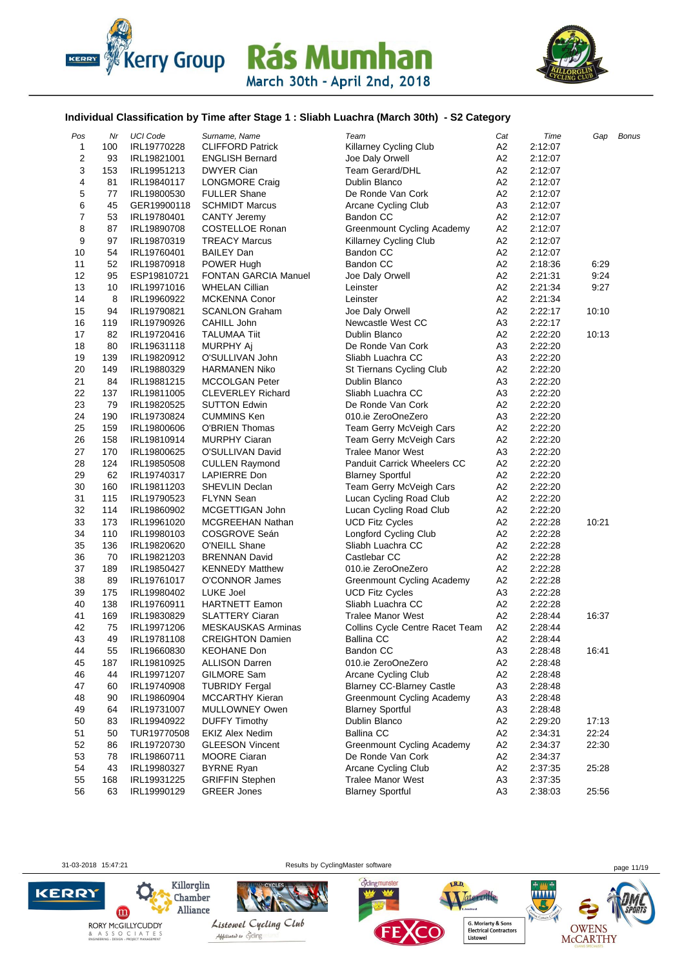



#### **Individual Classification by Time after Stage 1 : Sliabh Luachra (March 30th) - S2 Category**

| Pos              | Nr  | <b>UCI Code</b> | Surname, Name               | Team                               | Cat            | Time    | Gap   | <b>Bonus</b> |
|------------------|-----|-----------------|-----------------------------|------------------------------------|----------------|---------|-------|--------------|
| $\mathbf{1}$     | 100 | IRL19770228     | <b>CLIFFORD Patrick</b>     | Killarney Cycling Club             | А2             | 2:12:07 |       |              |
| $\overline{c}$   | 93  | IRL19821001     | <b>ENGLISH Bernard</b>      | Joe Daly Orwell                    | A <sub>2</sub> | 2:12:07 |       |              |
| 3                | 153 | IRL19951213     | <b>DWYER Cian</b>           | <b>Team Gerard/DHL</b>             | А2             | 2:12:07 |       |              |
| 4                | 81  | IRL19840117     | LONGMORE Craig              | Dublin Blanco                      | A <sub>2</sub> | 2:12:07 |       |              |
| 5                | 77  | IRL19800530     | <b>FULLER Shane</b>         | De Ronde Van Cork                  | A <sub>2</sub> | 2:12:07 |       |              |
| 6                | 45  | GER19900118     | <b>SCHMIDT Marcus</b>       | Arcane Cycling Club                | A <sub>3</sub> | 2:12:07 |       |              |
| $\boldsymbol{7}$ | 53  | IRL19780401     | <b>CANTY Jeremy</b>         | Bandon CC                          | A <sub>2</sub> | 2:12:07 |       |              |
| 8                | 87  | IRL19890708     | <b>COSTELLOE Ronan</b>      | Greenmount Cycling Academy         | A <sub>2</sub> | 2:12:07 |       |              |
| 9                | 97  | IRL19870319     | <b>TREACY Marcus</b>        | Killarney Cycling Club             | A <sub>2</sub> | 2:12:07 |       |              |
| 10               | 54  | IRL19760401     | <b>BAILEY Dan</b>           | Bandon CC                          | A2             | 2:12:07 |       |              |
| 11               | 52  | IRL19870918     | POWER Hugh                  | <b>Bandon CC</b>                   | A2             | 2:18:36 | 6:29  |              |
| 12               | 95  | ESP19810721     | <b>FONTAN GARCIA Manuel</b> | Joe Daly Orwell                    | A <sub>2</sub> | 2:21:31 | 9:24  |              |
| 13               | 10  | IRL19971016     | <b>WHELAN Cillian</b>       | Leinster                           | A <sub>2</sub> | 2:21:34 | 9:27  |              |
| 14               | 8   |                 | <b>MCKENNA Conor</b>        | Leinster                           | A2             | 2:21:34 |       |              |
| 15               | 94  | IRL19960922     |                             |                                    | A <sub>2</sub> | 2:22:17 | 10:10 |              |
|                  |     | IRL19790821     | <b>SCANLON Graham</b>       | Joe Daly Orwell                    |                |         |       |              |
| 16               | 119 | IRL19790926     | CAHILL John                 | Newcastle West CC                  | A3             | 2:22:17 |       |              |
| 17               | 82  | IRL19720416     | <b>TALUMAA Tiit</b>         | Dublin Blanco                      | A <sub>2</sub> | 2:22:20 | 10:13 |              |
| 18               | 80  | IRL19631118     | MURPHY Aj                   | De Ronde Van Cork                  | A <sub>3</sub> | 2:22:20 |       |              |
| 19               | 139 | IRL19820912     | O'SULLIVAN John             | Sliabh Luachra CC                  | A3             | 2:22:20 |       |              |
| 20               | 149 | IRL19880329     | <b>HARMANEN Niko</b>        | St Tiernans Cycling Club           | A <sub>2</sub> | 2:22:20 |       |              |
| 21               | 84  | IRL19881215     | <b>MCCOLGAN Peter</b>       | Dublin Blanco                      | A <sub>3</sub> | 2:22:20 |       |              |
| 22               | 137 | IRL19811005     | <b>CLEVERLEY Richard</b>    | Sliabh Luachra CC                  | A <sub>3</sub> | 2:22:20 |       |              |
| 23               | 79  | IRL19820525     | <b>SUTTON Edwin</b>         | De Ronde Van Cork                  | A2             | 2:22:20 |       |              |
| 24               | 190 | IRL19730824     | <b>CUMMINS Ken</b>          | 010.ie ZeroOneZero                 | A3             | 2:22:20 |       |              |
| 25               | 159 | IRL19800606     | O'BRIEN Thomas              | Team Gerry McVeigh Cars            | A <sub>2</sub> | 2:22:20 |       |              |
| 26               | 158 | IRL19810914     | <b>MURPHY Ciaran</b>        | Team Gerry McVeigh Cars            | A <sub>2</sub> | 2:22:20 |       |              |
| 27               | 170 | IRL19800625     | O'SULLIVAN David            | <b>Tralee Manor West</b>           | A <sub>3</sub> | 2:22:20 |       |              |
| 28               | 124 | IRL19850508     | <b>CULLEN Raymond</b>       | <b>Panduit Carrick Wheelers CC</b> | A2             | 2:22:20 |       |              |
| 29               | 62  | IRL19740317     | LAPIERRE Don                | <b>Blarney Sportful</b>            | A <sub>2</sub> | 2:22:20 |       |              |
| 30               | 160 | IRL19811203     | SHEVLIN Declan              | Team Gerry McVeigh Cars            | A <sub>2</sub> | 2:22:20 |       |              |
| 31               | 115 | IRL19790523     | <b>FLYNN Sean</b>           | Lucan Cycling Road Club            | A <sub>2</sub> | 2:22:20 |       |              |
| 32               | 114 | IRL19860902     | MCGETTIGAN John             | Lucan Cycling Road Club            | A <sub>2</sub> | 2:22:20 |       |              |
| 33               | 173 | IRL19961020     | MCGREEHAN Nathan            | <b>UCD Fitz Cycles</b>             | A2             | 2:22:28 | 10:21 |              |
| 34               | 110 | IRL19980103     | COSGROVE Seán               | Longford Cycling Club              | A <sub>2</sub> | 2:22:28 |       |              |
| 35               | 136 | IRL19820620     | O'NEILL Shane               | Sliabh Luachra CC                  | A <sub>2</sub> | 2:22:28 |       |              |
| 36               | 70  | IRL19821203     | <b>BRENNAN David</b>        | Castlebar CC                       | A <sub>2</sub> | 2:22:28 |       |              |
| 37               | 189 | IRL19850427     | <b>KENNEDY Matthew</b>      | 010.ie ZeroOneZero                 | A <sub>2</sub> | 2:22:28 |       |              |
| 38               | 89  | IRL19761017     | O'CONNOR James              | <b>Greenmount Cycling Academy</b>  | A <sub>2</sub> | 2:22:28 |       |              |
| 39               | 175 | IRL19980402     | <b>LUKE Joel</b>            | <b>UCD Fitz Cycles</b>             | A3             | 2:22:28 |       |              |
| 40               | 138 | IRL19760911     | <b>HARTNETT Eamon</b>       | Sliabh Luachra CC                  | A <sub>2</sub> | 2:22:28 |       |              |
| 41               | 169 | IRL19830829     | <b>SLATTERY Ciaran</b>      | <b>Tralee Manor West</b>           | A2             | 2:28:44 | 16:37 |              |
| 42               | 75  | IRL19971206     | <b>MESKAUSKAS Arminas</b>   | Collins Cycle Centre Racet Team    | A <sub>2</sub> | 2:28:44 |       |              |
| 43               | 49  | IRL19781108     | <b>CREIGHTON Damien</b>     | <b>Ballina CC</b>                  | A2             | 2:28:44 |       |              |
| 44               | 55  | IRL19660830     | <b>KEOHANE Don</b>          | Bandon CC                          | A <sub>3</sub> | 2:28:48 | 16:41 |              |
| 45               | 187 | IRL19810925     | <b>ALLISON Darren</b>       | 010.ie ZeroOneZero                 | A <sub>2</sub> | 2:28:48 |       |              |
| 46               | 44  | IRL19971207     | GILMORE Sam                 | Arcane Cycling Club                | A <sub>2</sub> | 2:28:48 |       |              |
| 47               | 60  | IRL19740908     | <b>TUBRIDY Fergal</b>       | <b>Blarney CC-Blarney Castle</b>   | A <sub>3</sub> | 2:28:48 |       |              |
| 48               | 90  | IRL19860904     | <b>MCCARTHY Kieran</b>      | <b>Greenmount Cycling Academy</b>  | A <sub>3</sub> | 2:28:48 |       |              |
| 49               | 64  | IRL19731007     | MULLOWNEY Owen              | <b>Blarney Sportful</b>            | A <sub>3</sub> | 2:28:48 |       |              |
| 50               | 83  | IRL19940922     | <b>DUFFY Timothy</b>        | Dublin Blanco                      | A <sub>2</sub> | 2:29:20 | 17:13 |              |
| 51               | 50  | TUR19770508     | <b>EKIZ Alex Nedim</b>      | <b>Ballina CC</b>                  | A <sub>2</sub> | 2:34:31 | 22:24 |              |
| 52               | 86  | IRL19720730     | <b>GLEESON Vincent</b>      | <b>Greenmount Cycling Academy</b>  | A2             | 2:34:37 | 22:30 |              |
| 53               | 78  | IRL19860711     | <b>MOORE Ciaran</b>         | De Ronde Van Cork                  | A <sub>2</sub> | 2:34:37 |       |              |
| 54               | 43  |                 |                             | Arcane Cycling Club                |                |         |       |              |
|                  |     | IRL19980327     | <b>BYRNE Ryan</b>           |                                    | A <sub>2</sub> | 2:37:35 | 25:28 |              |
| 55               | 168 | IRL19931225     | <b>GRIFFIN Stephen</b>      | <b>Tralee Manor West</b>           | A3             | 2:37:35 |       |              |
| 56               | 63  | IRL19990129     | <b>GREER Jones</b>          | <b>Blarney Sportful</b>            | A <sub>3</sub> | 2:38:03 | 25:56 |              |







cyclingmunster



LR.D.

OWENS<br>McCARTHY



Abbiliated to cycling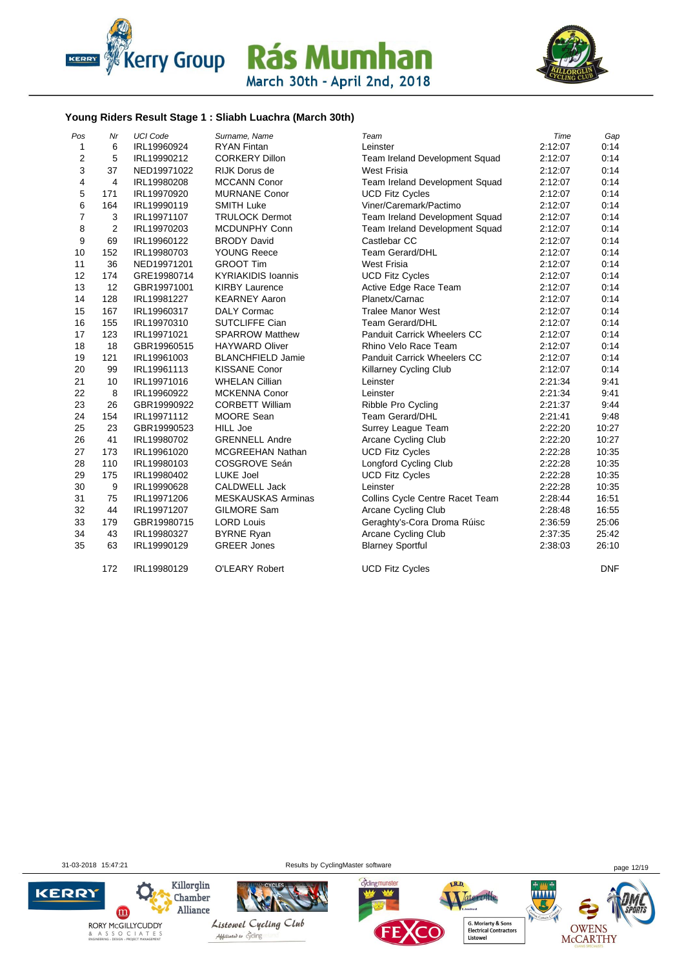



#### **Young Riders Result Stage 1 : Sliabh Luachra (March 30th)**

| Pos            | Nr             | <b>UCI Code</b> | Surname, Name             | Team                               | Time    | Gap        |
|----------------|----------------|-----------------|---------------------------|------------------------------------|---------|------------|
| $\mathbf{1}$   | 6              | IRL19960924     | <b>RYAN Fintan</b>        | Leinster                           | 2:12:07 | 0:14       |
| $\mathbf 2$    | 5              | IRL19990212     | <b>CORKERY Dillon</b>     | Team Ireland Development Squad     | 2:12:07 | 0:14       |
| 3              | 37             | NED19971022     | <b>RIJK Dorus de</b>      | <b>West Frisia</b>                 | 2:12:07 | 0:14       |
| 4              | $\overline{4}$ | IRL19980208     | <b>MCCANN Conor</b>       | Team Ireland Development Squad     | 2:12:07 | 0:14       |
| 5              | 171            | IRL19970920     | MURNANE Conor             | <b>UCD Fitz Cycles</b>             | 2:12:07 | 0:14       |
| 6              | 164            | IRL19990119     | <b>SMITH Luke</b>         | Viner/Caremark/Pactimo             | 2:12:07 | 0:14       |
| $\overline{7}$ | 3              | IRL19971107     | <b>TRULOCK Dermot</b>     | Team Ireland Development Squad     | 2:12:07 | 0:14       |
| 8              | 2              | IRL19970203     | MCDUNPHY Conn             | Team Ireland Development Squad     | 2:12:07 | 0:14       |
| 9              | 69             | IRL19960122     | <b>BRODY David</b>        | Castlebar CC                       | 2:12:07 | 0:14       |
| 10             | 152            | IRL19980703     | <b>YOUNG Reece</b>        | <b>Team Gerard/DHL</b>             | 2:12:07 | 0:14       |
| 11             | 36             | NED19971201     | <b>GROOT Tim</b>          | <b>West Frisia</b>                 | 2:12:07 | 0:14       |
| 12             | 174            | GRE19980714     | <b>KYRIAKIDIS Ioannis</b> | <b>UCD Fitz Cycles</b>             | 2:12:07 | 0:14       |
| 13             | 12             | GBR19971001     | <b>KIRBY Laurence</b>     | Active Edge Race Team              | 2:12:07 | 0:14       |
| 14             | 128            | IRL19981227     | <b>KEARNEY Aaron</b>      | Planetx/Carnac                     | 2:12:07 | 0:14       |
| 15             | 167            | IRL19960317     | <b>DALY Cormac</b>        | <b>Tralee Manor West</b>           | 2:12:07 | 0:14       |
| 16             | 155            | IRL19970310     | <b>SUTCLIFFE Cian</b>     | <b>Team Gerard/DHL</b>             | 2:12:07 | 0:14       |
| 17             | 123            | IRL19971021     | <b>SPARROW Matthew</b>    | Panduit Carrick Wheelers CC        | 2:12:07 | 0:14       |
| 18             | 18             | GBR19960515     | <b>HAYWARD Oliver</b>     | Rhino Velo Race Team               | 2:12:07 | 0:14       |
| 19             | 121            | IRL19961003     | <b>BLANCHFIELD Jamie</b>  | <b>Panduit Carrick Wheelers CC</b> | 2:12:07 | 0:14       |
| 20             | 99             | IRL19961113     | <b>KISSANE Conor</b>      | Killarney Cycling Club             | 2:12:07 | 0:14       |
| 21             | 10             | IRL19971016     | <b>WHELAN Cillian</b>     | Leinster                           | 2:21:34 | 9:41       |
| 22             | 8              | IRL19960922     | <b>MCKENNA Conor</b>      | Leinster                           | 2:21:34 | 9:41       |
| 23             | 26             | GBR19990922     | <b>CORBETT William</b>    | Ribble Pro Cycling                 | 2:21:37 | 9:44       |
| 24             | 154            | IRL19971112     | <b>MOORE Sean</b>         | <b>Team Gerard/DHL</b>             | 2:21:41 | 9:48       |
| 25             | 23             | GBR19990523     | <b>HILL Joe</b>           | Surrey League Team                 | 2:22:20 | 10:27      |
| 26             | 41             | IRL19980702     | <b>GRENNELL Andre</b>     | Arcane Cycling Club                | 2:22:20 | 10:27      |
| 27             | 173            | IRL19961020     | <b>MCGREEHAN Nathan</b>   | <b>UCD Fitz Cycles</b>             | 2:22:28 | 10:35      |
| 28             | 110            | IRL19980103     | COSGROVE Seán             | Longford Cycling Club              | 2:22:28 | 10:35      |
| 29             | 175            | IRL19980402     | LUKE Joel                 | <b>UCD Fitz Cycles</b>             | 2:22:28 | 10:35      |
| 30             | 9              | IRL19990628     | <b>CALDWELL Jack</b>      | Leinster                           | 2:22:28 | 10:35      |
| 31             | 75             | IRL19971206     | <b>MESKAUSKAS Arminas</b> | Collins Cycle Centre Racet Team    | 2:28:44 | 16:51      |
| 32             | 44             | IRL19971207     | <b>GILMORE Sam</b>        | <b>Arcane Cycling Club</b>         | 2:28:48 | 16:55      |
| 33             | 179            | GBR19980715     | <b>LORD Louis</b>         | Geraghty's-Cora Droma Rúisc        | 2:36:59 | 25:06      |
| 34             | 43             | IRL19980327     | <b>BYRNE Ryan</b>         | Arcane Cycling Club                | 2:37:35 | 25:42      |
| 35             | 63             | IRL19990129     | <b>GREER Jones</b>        | <b>Blarney Sportful</b>            | 2:38:03 | 26:10      |
|                | 172            | IRL19980129     | O'LEARY Robert            | <b>UCD Fitz Cycles</b>             |         | <b>DNF</b> |

31-03-2018 15:47:21 Results by CyclingMaster software page 12/19

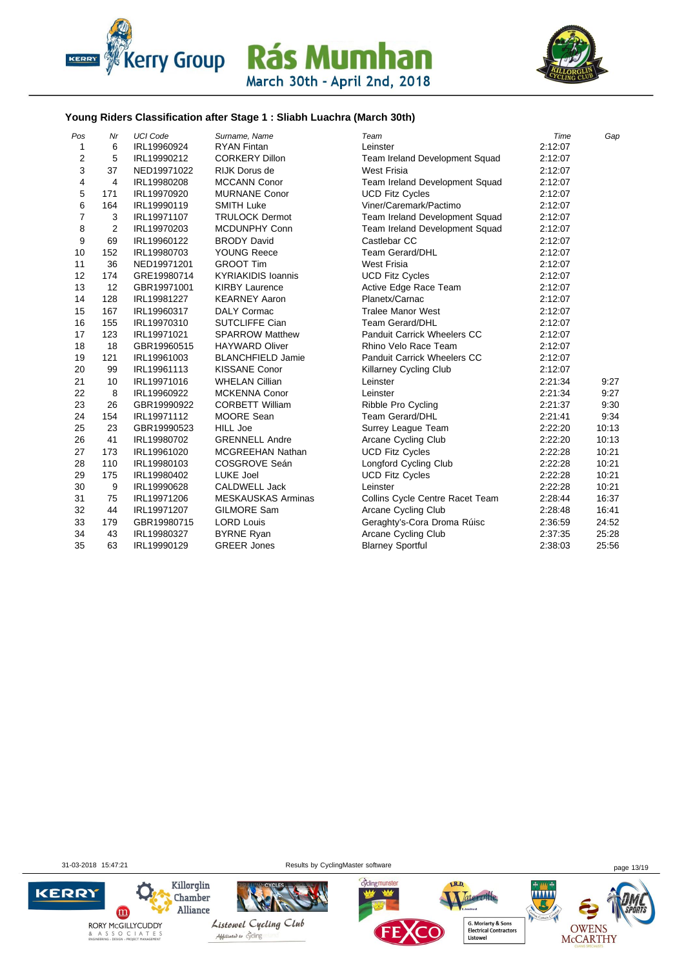



#### **Young Riders Classification after Stage 1 : Sliabh Luachra (March 30th)**

| Pos            | Nr             | <b>UCI Code</b> | Surname, Name             | Team                                  | Time    | Gap   |
|----------------|----------------|-----------------|---------------------------|---------------------------------------|---------|-------|
| $\mathbf{1}$   | 6              | IRL19960924     | <b>RYAN Fintan</b>        | Leinster                              | 2:12:07 |       |
| 2              | 5              | IRL19990212     | <b>CORKERY Dillon</b>     | <b>Team Ireland Development Squad</b> | 2:12:07 |       |
| 3              | 37             | NED19971022     | <b>RIJK Dorus de</b>      | <b>West Frisia</b>                    | 2:12:07 |       |
| 4              | 4              | IRL19980208     | <b>MCCANN Conor</b>       | Team Ireland Development Squad        | 2:12:07 |       |
| 5              | 171            | IRL19970920     | <b>MURNANE Conor</b>      | <b>UCD Fitz Cycles</b>                | 2:12:07 |       |
| 6              | 164            | IRL19990119     | <b>SMITH Luke</b>         | Viner/Caremark/Pactimo                | 2:12:07 |       |
| $\overline{7}$ | 3              | IRL19971107     | <b>TRULOCK Dermot</b>     | Team Ireland Development Squad        | 2:12:07 |       |
| 8              | $\overline{2}$ | IRL19970203     | <b>MCDUNPHY Conn</b>      | Team Ireland Development Squad        | 2:12:07 |       |
| 9              | 69             | IRL19960122     | <b>BRODY David</b>        | Castlebar CC                          | 2:12:07 |       |
| 10             | 152            | IRL19980703     | <b>YOUNG Reece</b>        | <b>Team Gerard/DHL</b>                | 2:12:07 |       |
| 11             | 36             | NED19971201     | <b>GROOT Tim</b>          | West Frisia                           | 2:12:07 |       |
| 12             | 174            | GRE19980714     | <b>KYRIAKIDIS Ioannis</b> | <b>UCD Fitz Cycles</b>                | 2:12:07 |       |
| 13             | 12             | GBR19971001     | <b>KIRBY Laurence</b>     | Active Edge Race Team                 | 2:12:07 |       |
| 14             | 128            | IRL19981227     | <b>KEARNEY Aaron</b>      | Planetx/Carnac                        | 2:12:07 |       |
| 15             | 167            | IRL19960317     | <b>DALY Cormac</b>        | <b>Tralee Manor West</b>              | 2:12:07 |       |
| 16             | 155            | IRL19970310     | <b>SUTCLIFFE Cian</b>     | <b>Team Gerard/DHL</b>                | 2:12:07 |       |
| 17             | 123            | IRL19971021     | <b>SPARROW Matthew</b>    | Panduit Carrick Wheelers CC           | 2:12:07 |       |
| 18             | 18             | GBR19960515     | <b>HAYWARD Oliver</b>     | Rhino Velo Race Team                  | 2:12:07 |       |
| 19             | 121            | IRL19961003     | <b>BLANCHFIELD Jamie</b>  | <b>Panduit Carrick Wheelers CC</b>    | 2:12:07 |       |
| 20             | 99             | IRL19961113     | <b>KISSANE Conor</b>      | <b>Killarney Cycling Club</b>         | 2:12:07 |       |
| 21             | 10             | IRL19971016     | <b>WHELAN Cillian</b>     | Leinster                              | 2:21:34 | 9:27  |
| 22             | 8              | IRL19960922     | <b>MCKENNA Conor</b>      | Leinster                              | 2:21:34 | 9:27  |
| 23             | 26             | GBR19990922     | <b>CORBETT William</b>    | Ribble Pro Cycling                    | 2:21:37 | 9:30  |
| 24             | 154            | IRL19971112     | MOORE Sean                | Team Gerard/DHL                       | 2:21:41 | 9:34  |
| 25             | 23             | GBR19990523     | <b>HILL Joe</b>           | Surrey League Team                    | 2:22:20 | 10:13 |
| 26             | 41             | IRL19980702     | <b>GRENNELL Andre</b>     | Arcane Cycling Club                   | 2:22:20 | 10:13 |
| 27             | 173            | IRL19961020     | <b>MCGREEHAN Nathan</b>   | <b>UCD Fitz Cycles</b>                | 2:22:28 | 10:21 |
| 28             | 110            | IRL19980103     | COSGROVE Seán             | Longford Cycling Club                 | 2:22:28 | 10:21 |
| 29             | 175            | IRL19980402     | LUKE Joel                 | <b>UCD Fitz Cycles</b>                | 2:22:28 | 10:21 |
| 30             | 9              | IRL19990628     | <b>CALDWELL Jack</b>      | Leinster                              | 2:22:28 | 10:21 |
| 31             | 75             | IRL19971206     | <b>MESKAUSKAS Arminas</b> | Collins Cycle Centre Racet Team       | 2:28:44 | 16:37 |
| 32             | 44             | IRL19971207     | <b>GILMORE Sam</b>        | Arcane Cycling Club                   | 2:28:48 | 16:41 |
| 33             | 179            | GBR19980715     | <b>LORD Louis</b>         | Geraghty's-Cora Droma Rúisc           | 2:36:59 | 24:52 |
| 34             | 43             | IRL19980327     | <b>BYRNE Ryan</b>         | <b>Arcane Cycling Club</b>            | 2:37:35 | 25:28 |
| 35             | 63             | IRL19990129     | <b>GREER Jones</b>        | <b>Blarney Sportful</b>               | 2:38:03 | 25:56 |

31-03-2018 15:47:21 Results by CyclingMaster software page 13/19

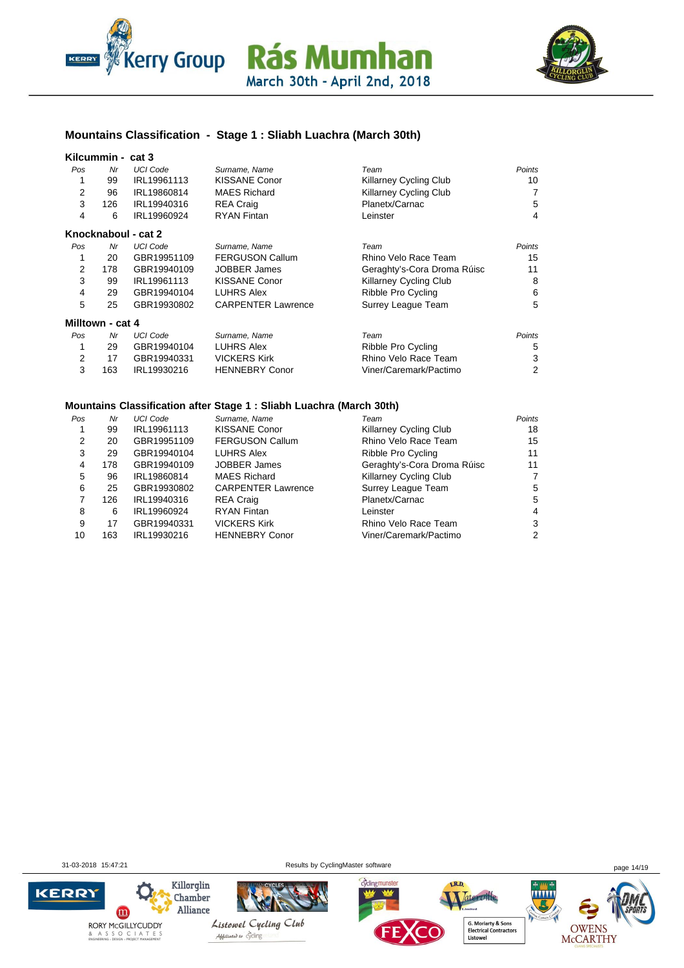



### **Mountains Classification - Stage 1 : Sliabh Luachra (March 30th)**

#### **Kilcummin - cat 3**

| .   |     |                     |                      |                        |        |
|-----|-----|---------------------|----------------------|------------------------|--------|
| Pos | Nr  | <b>UCI Code</b>     | Surname, Name        | Team                   | Points |
| 1   | 99  | IRL19961113         | <b>KISSANE Conor</b> | Killarney Cycling Club | 10     |
| 2   | 96  | IRL19860814         | <b>MAES Richard</b>  | Killarney Cycling Club | 7      |
| 3   | 126 | IRL19940316         | <b>REA Craig</b>     | Planetx/Carnac         | 5      |
| 4   | 6   | IRL19960924         | <b>RYAN Fintan</b>   | Leinster               | 4      |
|     |     | Knocknaboul - cat 2 |                      |                        |        |
| Pos | Nr  | HCLCode             | Surname Name         | Team                   | Points |

| Pos | Nr  | UCI Code    | Surname. Name             | Team                          | Points |
|-----|-----|-------------|---------------------------|-------------------------------|--------|
|     | 20  | GBR19951109 | <b>FERGUSON Callum</b>    | Rhino Velo Race Team          | 15     |
|     | 178 | GBR19940109 | <b>JOBBER James</b>       | Geraghty's-Cora Droma Rúisc   | 11     |
|     | 99  | IRL19961113 | <b>KISSANE Conor</b>      | <b>Killarney Cycling Club</b> | 8      |
|     | 29  | GBR19940104 | <b>LUHRS Alex</b>         | Ribble Pro Cycling            | 6      |
| 5   | 25  | GBR19930802 | <b>CARPENTER Lawrence</b> | Surrey League Team            | 5      |
|     |     |             |                           |                               |        |

#### **Milltown - cat 4**

| Pos | Nr  | UCI Code    | Surname, Name         | Team                   | Points |
|-----|-----|-------------|-----------------------|------------------------|--------|
|     | 29  | GBR19940104 | LUHRS Alex            | Ribble Pro Cycling     | -5     |
|     |     | GBR19940331 | <b>VICKERS Kirk</b>   | Rhino Velo Race Team   | 3      |
|     | 163 | IRL19930216 | <b>HENNEBRY Conor</b> | Viner/Caremark/Pactimo | 2      |

#### **Mountains Classification after Stage 1 : Sliabh Luachra (March 30th)**

| Pos | Nr  | UCI Code    | Surname, Name             | Team                        | Points |
|-----|-----|-------------|---------------------------|-----------------------------|--------|
|     | 99  | IRL19961113 | <b>KISSANE Conor</b>      | Killarney Cycling Club      | 18     |
| 2   | 20  | GBR19951109 | <b>FERGUSON Callum</b>    | Rhino Velo Race Team        | 15     |
| 3   | 29  | GBR19940104 | <b>LUHRS Alex</b>         | Ribble Pro Cycling          | 11     |
| 4   | 178 | GBR19940109 | <b>JOBBER James</b>       | Geraghty's-Cora Droma Rúisc | 11     |
| 5   | 96  | IRL19860814 | <b>MAES Richard</b>       | Killarney Cycling Club      | 7      |
| 6   | 25  | GBR19930802 | <b>CARPENTER Lawrence</b> | Surrey League Team          | 5      |
|     | 126 | IRL19940316 | <b>REA Craig</b>          | Planetx/Carnac              | 5      |
| 8   | 6   | IRL19960924 | <b>RYAN Fintan</b>        | Leinster                    | 4      |
| 9   | 17  | GBR19940331 | <b>VICKERS Kirk</b>       | Rhino Velo Race Team        | 3      |
| 10  | 163 | IRL19930216 | <b>HENNEBRY Conor</b>     | Viner/Caremark/Pactimo      | 2      |

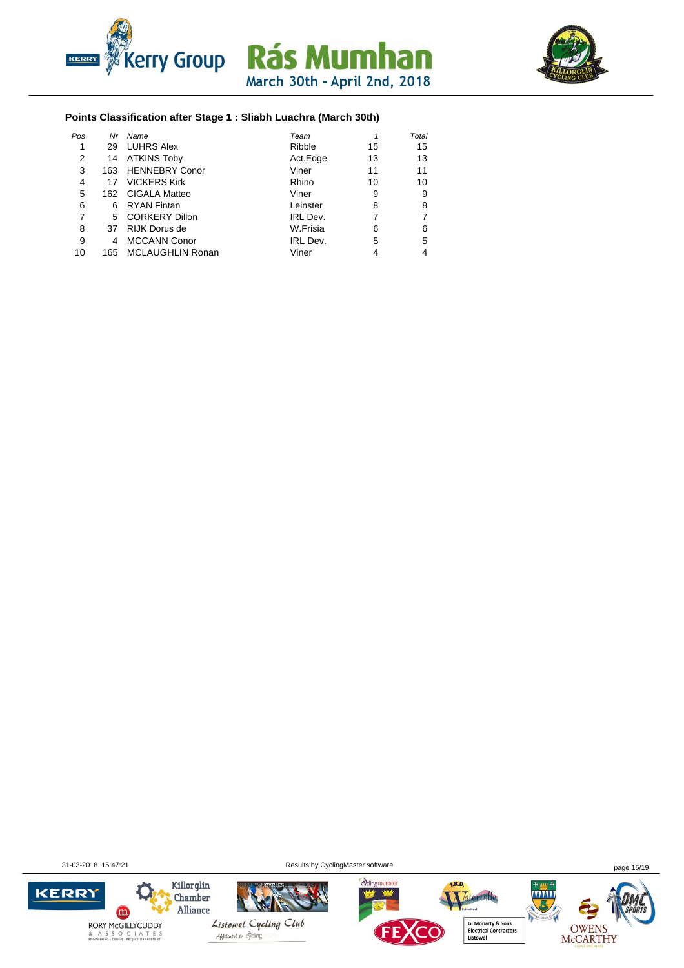



#### **Points Classification after Stage 1 : Sliabh Luachra (March 30th)**

| Pos | Nr  | Name                    | Team     |    | Total |
|-----|-----|-------------------------|----------|----|-------|
|     | 29  | <b>LUHRS Alex</b>       | Ribble   | 15 | 15    |
| 2   | 14  | ATKINS Toby             | Act.Edge | 13 | 13    |
| 3   | 163 | <b>HENNEBRY Conor</b>   | Viner    | 11 | 11    |
| 4   | 17  | <b>VICKERS Kirk</b>     | Rhino    | 10 | 10    |
| 5   |     | 162 CIGALA Matteo       | Viner    | 9  | 9     |
| 6   | 6   | <b>RYAN Fintan</b>      | Leinster | 8  | 8     |
| 7   |     | 5 CORKERY Dillon        | IRL Dev. |    | 7     |
| 8   | 37  | RIJK Dorus de           | W.Frisia | 6  | 6     |
| 9   |     | <b>MCCANN Conor</b>     | IRL Dev. | 5  | 5     |
| 10  | 165 | <b>MCLAUGHLIN Ronan</b> | Viner    |    | 4     |

31-03-2018 15:47:21 Results by CyclingMaster software page 15/19

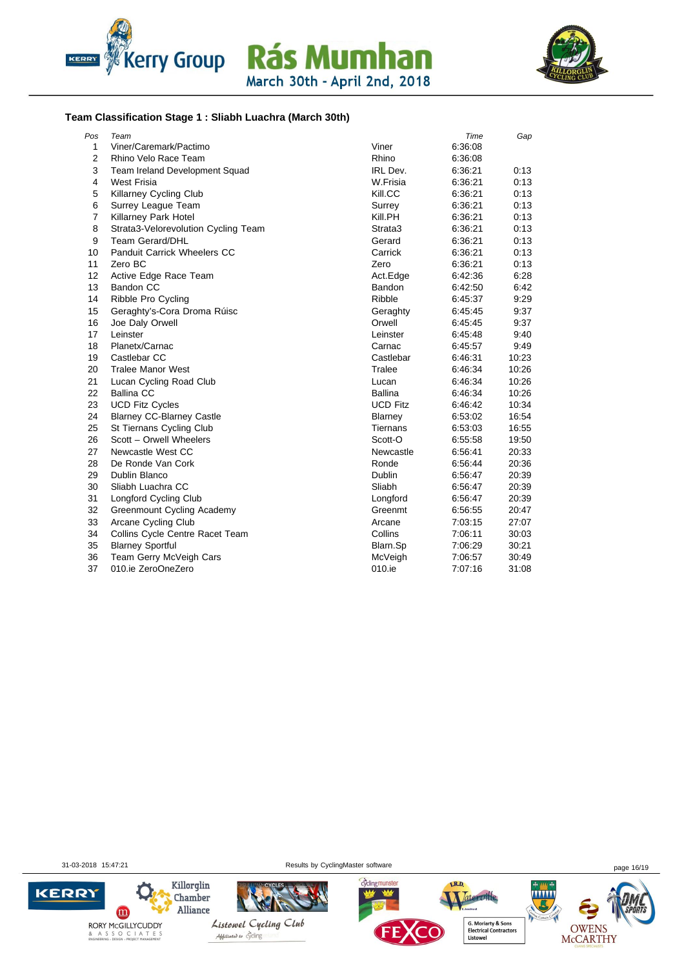





#### **Team Classification Stage 1 : Sliabh Luachra (March 30th)**

| Pos            | Team                                |                 | Time    | Gap   |
|----------------|-------------------------------------|-----------------|---------|-------|
| 1              | Viner/Caremark/Pactimo              | Viner           | 6:36:08 |       |
| 2              | Rhino Velo Race Team                | Rhino           | 6:36:08 |       |
| 3              | Team Ireland Development Squad      | IRL Dev.        | 6:36:21 | 0:13  |
| 4              | <b>West Frisia</b>                  | W.Frisia        | 6:36:21 | 0:13  |
| 5              | <b>Killarney Cycling Club</b>       | Kill.CC         | 6:36:21 | 0:13  |
| 6              | Surrey League Team                  | Surrey          | 6:36:21 | 0:13  |
| $\overline{7}$ | Killarney Park Hotel                | Kill.PH         | 6:36:21 | 0:13  |
| 8              | Strata3-Velorevolution Cycling Team | Strata3         | 6:36:21 | 0:13  |
| 9              | <b>Team Gerard/DHL</b>              | Gerard          | 6:36:21 | 0:13  |
| 10             | <b>Panduit Carrick Wheelers CC</b>  | Carrick         | 6:36:21 | 0:13  |
| 11             | Zero BC                             | Zero            | 6:36:21 | 0:13  |
| 12             | Active Edge Race Team               | Act.Edge        | 6:42:36 | 6:28  |
| 13             | Bandon CC                           | Bandon          | 6:42:50 | 6:42  |
| 14             | Ribble Pro Cycling                  | Ribble          | 6:45:37 | 9.29  |
| 15             | Geraghty's-Cora Droma Rúisc         | Geraghty        | 6:45:45 | 9:37  |
| 16             | Joe Daly Orwell                     | Orwell          | 6:45:45 | 9:37  |
| 17             | Leinster                            | Leinster        | 6:45:48 | 9:40  |
| 18             | Planetx/Carnac                      | Carnac          | 6:45:57 | 9:49  |
| 19             | Castlebar CC                        | Castlebar       | 6:46:31 | 10:23 |
| 20             | <b>Tralee Manor West</b>            | Tralee          | 6:46:34 | 10:26 |
| 21             | Lucan Cycling Road Club             | Lucan           | 6:46:34 | 10:26 |
| 22             | <b>Ballina CC</b>                   | <b>Ballina</b>  | 6:46:34 | 10:26 |
| 23             | <b>UCD Fitz Cycles</b>              | <b>UCD Fitz</b> | 6:46:42 | 10:34 |
| 24             | <b>Blarney CC-Blarney Castle</b>    | Blarney         | 6:53:02 | 16:54 |
| 25             | St Tiernans Cycling Club            | Tiernans        | 6:53:03 | 16:55 |
| 26             | Scott - Orwell Wheelers             | Scott-O         | 6:55:58 | 19:50 |
| 27             | Newcastle West CC                   | Newcastle       | 6.56.41 | 20:33 |
| 28             | De Ronde Van Cork                   | Ronde           | 6:56:44 | 20:36 |
| 29             | Dublin Blanco                       | Dublin          | 6:56:47 | 20:39 |
| 30             | Sliabh Luachra CC                   | Sliabh          | 6:56:47 | 20:39 |
| 31             | Longford Cycling Club               | Longford        | 6:56:47 | 20:39 |
| 32             | <b>Greenmount Cycling Academy</b>   | Greenmt         | 6:56:55 | 20:47 |
| 33             | <b>Arcane Cycling Club</b>          | Arcane          | 7:03:15 | 27:07 |
| 34             | Collins Cycle Centre Racet Team     | Collins         | 7:06:11 | 30:03 |
| 35             | <b>Blarney Sportful</b>             | Blarn.Sp        | 7:06:29 | 30:21 |
| 36             | Team Gerry McVeigh Cars             | McVeigh         | 7:06:57 | 30:49 |
| 37             | 010.ie ZeroOneZero                  | 010.ie          | 7:07:16 | 31:08 |

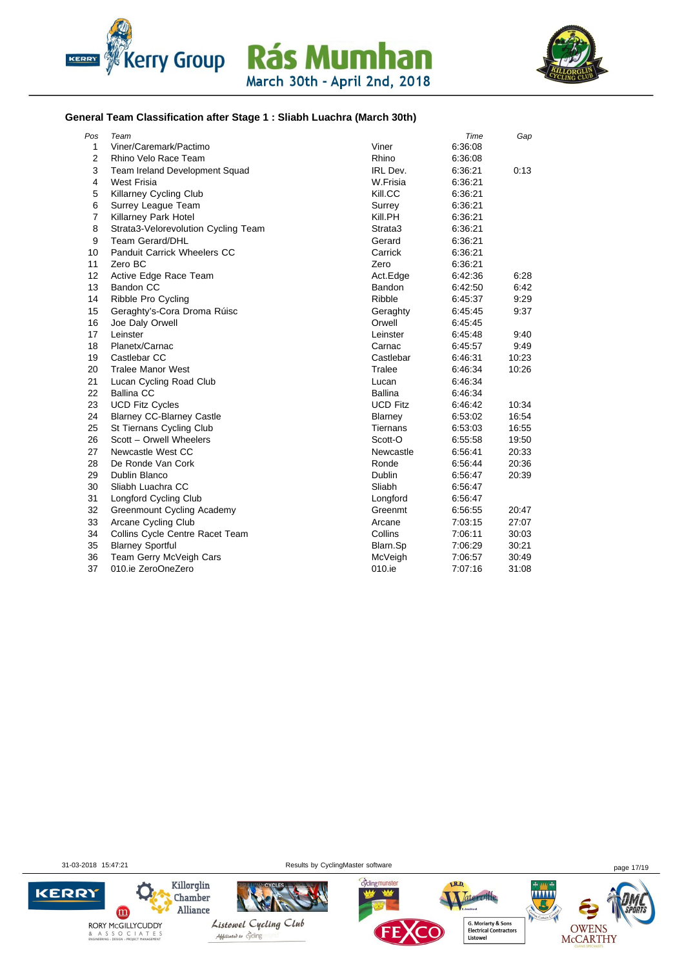



#### **General Team Classification after Stage 1 : Sliabh Luachra (March 30th)**

| Pos            | Team                                |                 | Time    | Gap   |
|----------------|-------------------------------------|-----------------|---------|-------|
| $\mathbf{1}$   | Viner/Caremark/Pactimo              | Viner           | 6.36.08 |       |
| $\overline{2}$ | Rhino Velo Race Team                | Rhino           | 6:36:08 |       |
| 3              | Team Ireland Development Squad      | IRL Dev.        | 6:36:21 | 0:13  |
| 4              | <b>West Frisia</b>                  | W.Frisia        | 6:36:21 |       |
| 5              | <b>Killarney Cycling Club</b>       | Kill.CC         | 6:36:21 |       |
| 6              | Surrey League Team                  | Surrey          | 6:36:21 |       |
| $\overline{7}$ | Killarney Park Hotel                | Kill.PH         | 6:36:21 |       |
| 8              | Strata3-Velorevolution Cycling Team | Strata3         | 6:36:21 |       |
| 9              | <b>Team Gerard/DHL</b>              | Gerard          | 6:36:21 |       |
| 10             | <b>Panduit Carrick Wheelers CC</b>  | Carrick         | 6:36:21 |       |
| 11             | Zero BC                             | Zero            | 6:36:21 |       |
| 12             | Active Edge Race Team               | Act.Edge        | 6:42:36 | 6:28  |
| 13             | Bandon CC                           | Bandon          | 6:42:50 | 6:42  |
| 14             | Ribble Pro Cycling                  | Ribble          | 6:45:37 | 9:29  |
| 15             | Geraghty's-Cora Droma Rúisc         | Geraghty        | 6:45:45 | 9:37  |
| 16             | Joe Daly Orwell                     | Orwell          | 6:45:45 |       |
| 17             | Leinster                            | Leinster        | 6:45:48 | 9:40  |
| 18             | Planetx/Carnac                      | Carnac          | 6:45:57 | 9:49  |
| 19             | Castlebar CC                        | Castlebar       | 6:46:31 | 10:23 |
| 20             | <b>Tralee Manor West</b>            | Tralee          | 6:46:34 | 10:26 |
| 21             | Lucan Cycling Road Club             | Lucan           | 6:46:34 |       |
| 22             | <b>Ballina CC</b>                   | <b>Ballina</b>  | 6:46:34 |       |
| 23             | <b>UCD Fitz Cycles</b>              | <b>UCD Fitz</b> | 6:46:42 | 10:34 |
| 24             | <b>Blarney CC-Blarney Castle</b>    | Blarney         | 6:53:02 | 16:54 |
| 25             | St Tiernans Cycling Club            | <b>Tiernans</b> | 6:53:03 | 16:55 |
| 26             | Scott - Orwell Wheelers             | Scott-O         | 6:55:58 | 19:50 |
| 27             | Newcastle West CC                   | Newcastle       | 6:56:41 | 20:33 |
| 28             | De Ronde Van Cork                   | Ronde           | 6:56:44 | 20:36 |
| 29             | Dublin Blanco                       | Dublin          | 6:56:47 | 20:39 |
| 30             | Sliabh Luachra CC                   | Sliabh          | 6:56:47 |       |
| 31             | Longford Cycling Club               | Longford        | 6:56:47 |       |
| 32             | Greenmount Cycling Academy          | Greenmt         | 6:56:55 | 20:47 |
| 33             | Arcane Cycling Club                 | Arcane          | 7:03:15 | 27:07 |
| 34             | Collins Cycle Centre Racet Team     | Collins         | 7:06:11 | 30:03 |
| 35             | <b>Blarney Sportful</b>             | Blarn.Sp        | 7:06:29 | 30:21 |
| 36             | Team Gerry McVeigh Cars             | McVeigh         | 7:06:57 | 30:49 |
| 37             | 010.ie ZeroOneZero                  | 010.ie          | 7:07:16 | 31:08 |

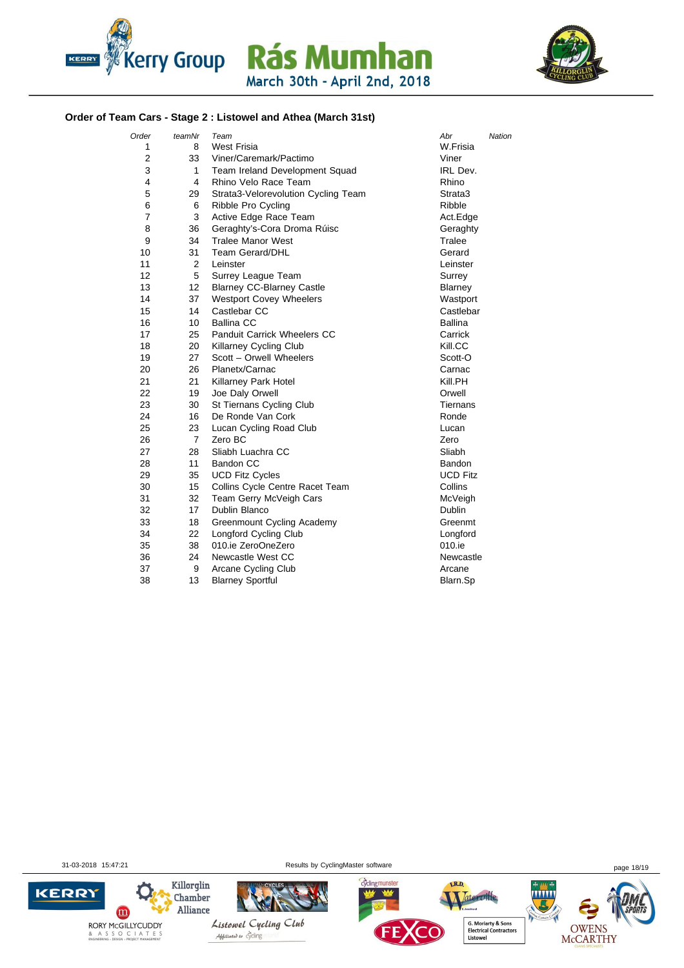



### **Order of Team Cars - Stage 2 : Listowel and Athea (March 31st)**

| Order | teamNr         | Team                                | Abr             | Nation |
|-------|----------------|-------------------------------------|-----------------|--------|
| 1     | 8              | West Frisia                         | W.Frisia        |        |
| 2     | 33             | Viner/Caremark/Pactimo              | Viner           |        |
| 3     | 1              | Team Ireland Development Squad      | IRL Dev.        |        |
| 4     | 4              | Rhino Velo Race Team                | Rhino           |        |
| 5     | 29             | Strata3-Velorevolution Cycling Team | Strata3         |        |
| 6     | 6              | Ribble Pro Cycling                  | Ribble          |        |
| 7     | 3              | Active Edge Race Team               | Act.Edge        |        |
| 8     | 36             | Geraghty's-Cora Droma Rúisc         | Geraghty        |        |
| 9     | 34             | <b>Tralee Manor West</b>            | Tralee          |        |
| 10    | 31             | <b>Team Gerard/DHL</b>              | Gerard          |        |
| 11    | $\overline{2}$ | Leinster                            | Leinster        |        |
| 12    | 5              | Surrey League Team                  | Surrey          |        |
| 13    | 12             | <b>Blarney CC-Blarney Castle</b>    | Blarney         |        |
| 14    | 37             | <b>Westport Covey Wheelers</b>      | Wastport        |        |
| 15    | 14             | Castlebar CC                        | Castlebar       |        |
| 16    | 10             | <b>Ballina CC</b>                   | <b>Ballina</b>  |        |
| 17    | 25             | <b>Panduit Carrick Wheelers CC</b>  | Carrick         |        |
| 18    | 20             | Killarney Cycling Club              | Kill.CC         |        |
| 19    | 27             | Scott - Orwell Wheelers             | Scott-O         |        |
| 20    | 26             | Planetx/Carnac                      | Carnac          |        |
| 21    | 21             | Killarney Park Hotel                | Kill.PH         |        |
| 22    | 19             | Joe Daly Orwell                     | Orwell          |        |
| 23    | 30             | St Tiernans Cycling Club            | Tiernans        |        |
| 24    | 16             | De Ronde Van Cork                   | Ronde           |        |
| 25    | 23             | Lucan Cycling Road Club             | Lucan           |        |
| 26    | 7              | Zero BC                             | Zero            |        |
| 27    | 28             | Sliabh Luachra CC                   | Sliabh          |        |
| 28    | 11             | <b>Bandon CC</b>                    | <b>Bandon</b>   |        |
| 29    | 35             | <b>UCD Fitz Cycles</b>              | <b>UCD Fitz</b> |        |
| 30    | 15             | Collins Cycle Centre Racet Team     | Collins         |        |
| 31    | 32             | Team Gerry McVeigh Cars             | McVeigh         |        |
| 32    | 17             | <b>Dublin Blanco</b>                | Dublin          |        |
| 33    | 18             | Greenmount Cycling Academy          | Greenmt         |        |
| 34    | 22             | <b>Longford Cycling Club</b>        | Longford        |        |
| 35    | 38             | 010.ie ZeroOneZero                  | 010.ie          |        |
| 36    | 24             | Newcastle West CC                   | Newcastle       |        |
| 37    | 9              | Arcane Cycling Club                 | Arcane          |        |
| 38    | 13             | <b>Blarney Sportful</b>             | Blarn.Sp        |        |

31-03-2018 15:47:21 Results by CyclingMaster software page 18/19